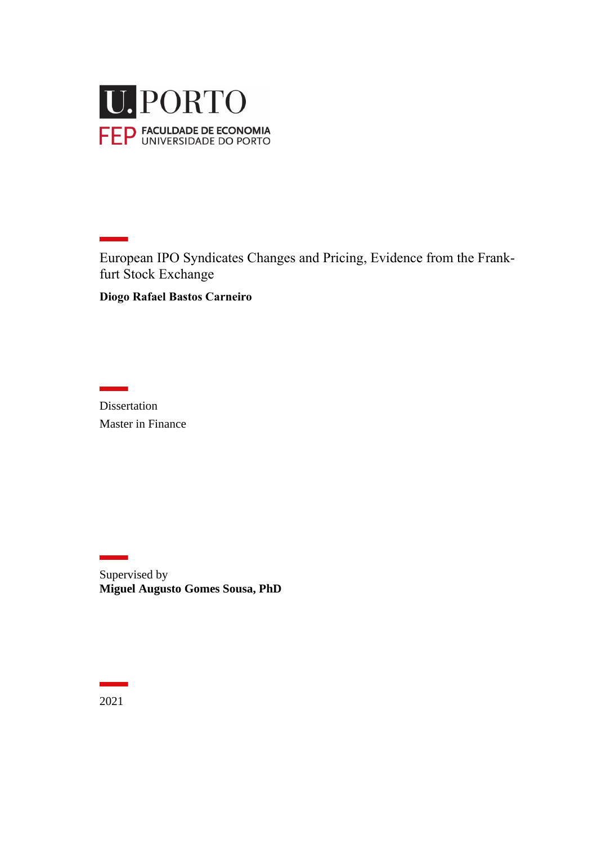

European IPO Syndicates Changes and Pricing, Evidence from the Frankfurt Stock Exchange

**Diogo Rafael Bastos Carneiro**

Dissertation Master in Finance

Supervised by **Miguel Augusto Gomes Sousa, PhD**

2021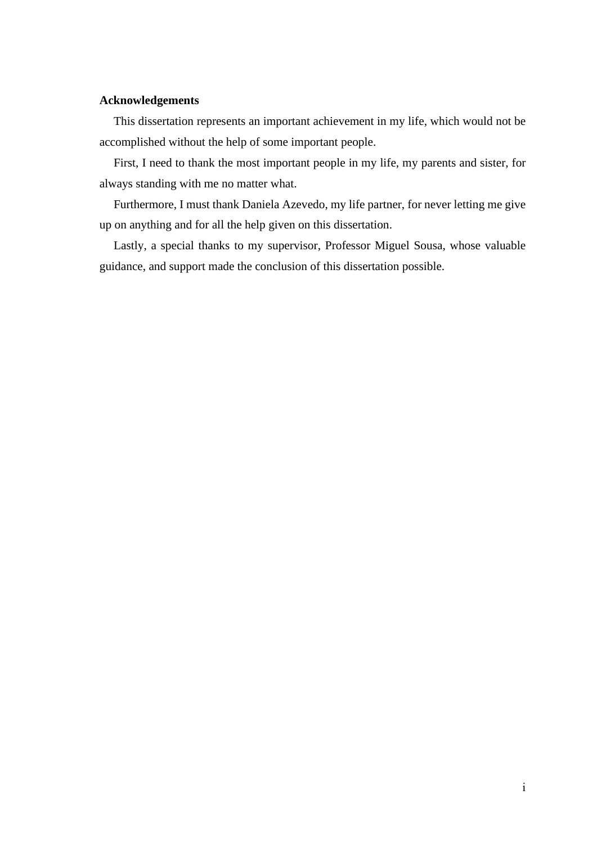## **Acknowledgements**

This dissertation represents an important achievement in my life, which would not be accomplished without the help of some important people.

First, I need to thank the most important people in my life, my parents and sister, for always standing with me no matter what.

Furthermore, I must thank Daniela Azevedo, my life partner, for never letting me give up on anything and for all the help given on this dissertation.

Lastly, a special thanks to my supervisor, Professor Miguel Sousa, whose valuable guidance, and support made the conclusion of this dissertation possible.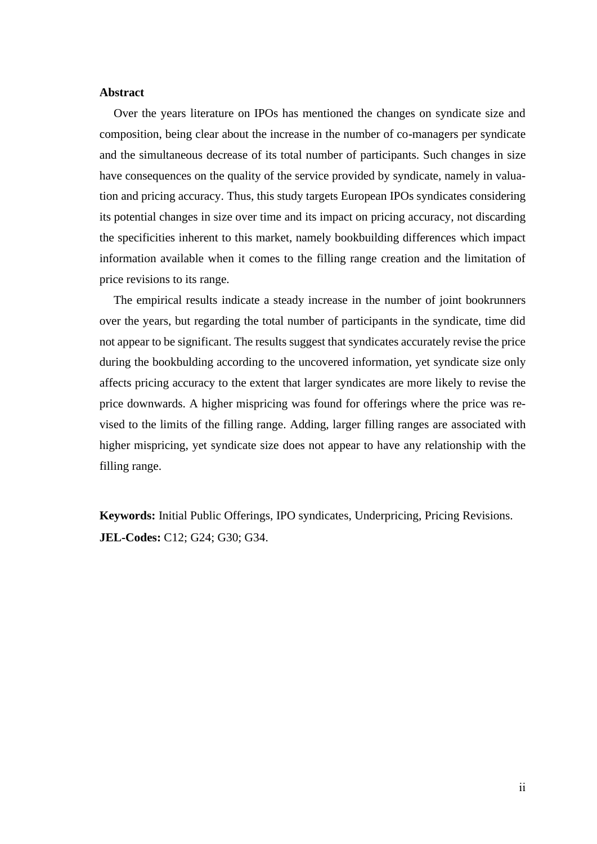#### **Abstract**

Over the years literature on IPOs has mentioned the changes on syndicate size and composition, being clear about the increase in the number of co-managers per syndicate and the simultaneous decrease of its total number of participants. Such changes in size have consequences on the quality of the service provided by syndicate, namely in valuation and pricing accuracy. Thus, this study targets European IPOs syndicates considering its potential changes in size over time and its impact on pricing accuracy, not discarding the specificities inherent to this market, namely bookbuilding differences which impact information available when it comes to the filling range creation and the limitation of price revisions to its range.

The empirical results indicate a steady increase in the number of joint bookrunners over the years, but regarding the total number of participants in the syndicate, time did not appear to be significant. The results suggest that syndicates accurately revise the price during the bookbulding according to the uncovered information, yet syndicate size only affects pricing accuracy to the extent that larger syndicates are more likely to revise the price downwards. A higher mispricing was found for offerings where the price was revised to the limits of the filling range. Adding, larger filling ranges are associated with higher mispricing, yet syndicate size does not appear to have any relationship with the filling range.

**Keywords:** Initial Public Offerings, IPO syndicates, Underpricing, Pricing Revisions. **JEL-Codes:** C12; G24; G30; G34.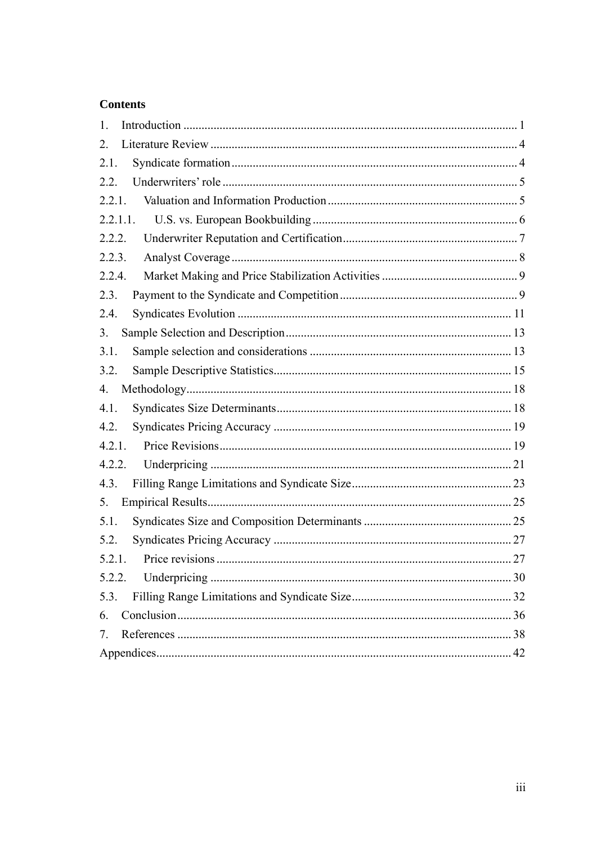## **Contents**

| 1.       |  |
|----------|--|
| 2.       |  |
| 2.1.     |  |
| 2.2.     |  |
| 2.2.1.   |  |
| 2.2.1.1. |  |
| 2.2.2.   |  |
| 2.2.3.   |  |
| 2.2.4.   |  |
| 2.3.     |  |
| 2.4.     |  |
| 3.       |  |
| 3.1.     |  |
| 3.2.     |  |
| 4.       |  |
| 4.1.     |  |
| 4.2.     |  |
| 4.2.1.   |  |
| 4.2.2.   |  |
| 4.3.     |  |
| 5.       |  |
| 5.1.     |  |
| 5.2.     |  |
| 5.2.1.   |  |
| 5.2.2.   |  |
| 5.3.     |  |
| 6.       |  |
| 7.       |  |
|          |  |
|          |  |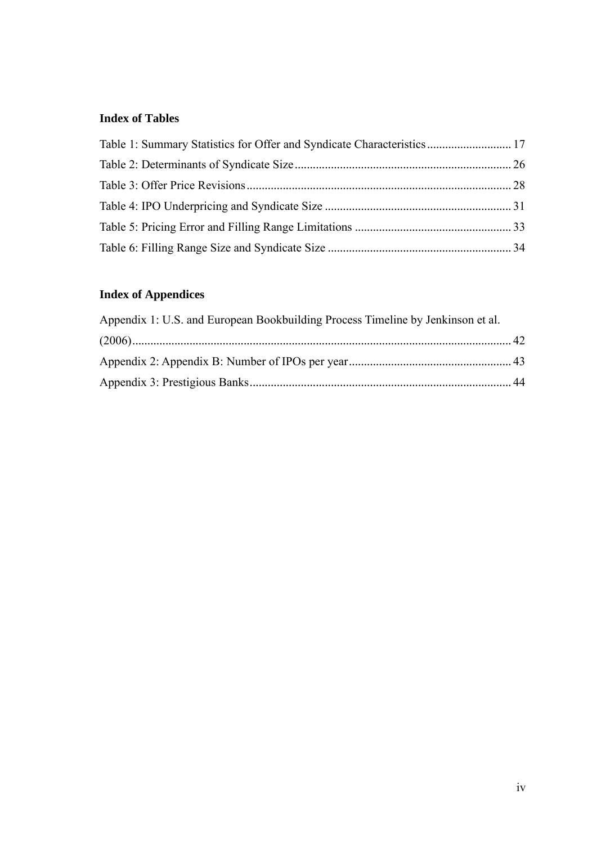# **Index of Tables**

| Table 1: Summary Statistics for Offer and Syndicate Characteristics 17 |  |
|------------------------------------------------------------------------|--|
|                                                                        |  |
|                                                                        |  |
|                                                                        |  |
|                                                                        |  |
|                                                                        |  |

# **Index of Appendices**

| Appendix 1: U.S. and European Bookbuilding Process Timeline by Jenkinson et al. |  |
|---------------------------------------------------------------------------------|--|
|                                                                                 |  |
|                                                                                 |  |
|                                                                                 |  |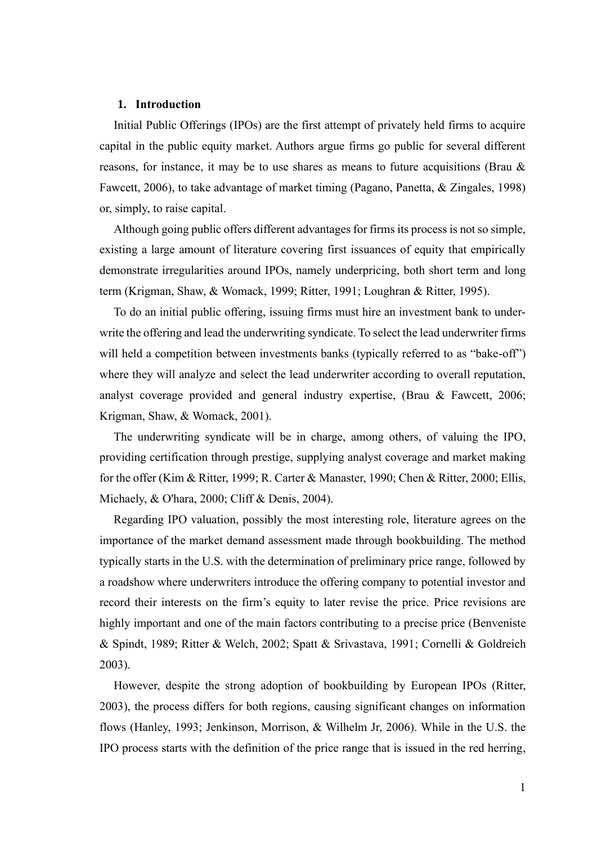#### <span id="page-5-0"></span>**1. Introduction**

Initial Public Offerings (IPOs) are the first attempt of privately held firms to acquire capital in the public equity market. Authors argue firms go public for several different reasons, for instance, it may be to use shares as means to future acquisitions (Brau & Fawcett, 2006), to take advantage of market timing (Pagano, Panetta, & Zingales, 1998) or, simply, to raise capital.

Although going public offers different advantages for firms its process is not so simple, existing a large amount of literature covering first issuances of equity that empirically demonstrate irregularities around IPOs, namely underpricing, both short term and long term (Krigman, Shaw, & Womack, 1999; Ritter, 1991; Loughran & Ritter, 1995).

To do an initial public offering, issuing firms must hire an investment bank to underwrite the offering and lead the underwriting syndicate. To select the lead underwriter firms will held a competition between investments banks (typically referred to as "bake-off") where they will analyze and select the lead underwriter according to overall reputation, analyst coverage provided and general industry expertise, (Brau & Fawcett, 2006; Krigman, Shaw, & Womack, 2001).

The underwriting syndicate will be in charge, among others, of valuing the IPO, providing certification through prestige, supplying analyst coverage and market making for the offer (Kim & Ritter, 1999; R. Carter & Manaster, 1990; Chen & Ritter, 2000; Ellis, Michaely, & O'hara, 2000; Cliff & Denis, 2004).

Regarding IPO valuation, possibly the most interesting role, literature agrees on the importance of the market demand assessment made through bookbuilding. The method typically starts in the U.S. with the determination of preliminary price range, followed by a roadshow where underwriters introduce the offering company to potential investor and record their interests on the firm's equity to later revise the price. Price revisions are highly important and one of the main factors contributing to a precise price (Benveniste & Spindt, 1989; Ritter & Welch, 2002; Spatt & Srivastava, 1991; Cornelli & Goldreich 2003).

However, despite the strong adoption of bookbuilding by European IPOs (Ritter, 2003), the process differs for both regions, causing significant changes on information flows (Hanley, 1993; Jenkinson, Morrison, & Wilhelm Jr, 2006). While in the U.S. the IPO process starts with the definition of the price range that is issued in the red herring,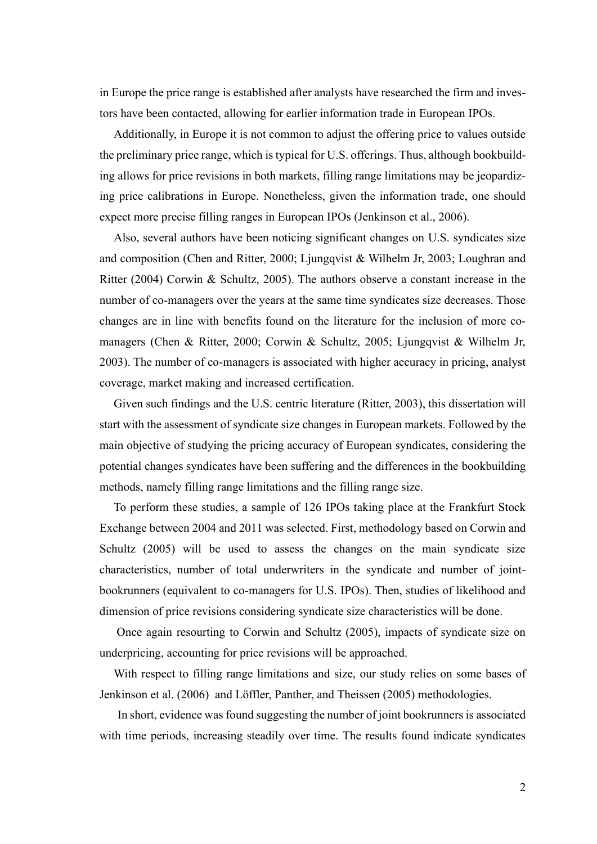in Europe the price range is established after analysts have researched the firm and investors have been contacted, allowing for earlier information trade in European IPOs.

Additionally, in Europe it is not common to adjust the offering price to values outside the preliminary price range, which is typical for U.S. offerings. Thus, although bookbuilding allows for price revisions in both markets, filling range limitations may be jeopardizing price calibrations in Europe. Nonetheless, given the information trade, one should expect more precise filling ranges in European IPOs (Jenkinson et al., 2006).

Also, several authors have been noticing significant changes on U.S. syndicates size and composition (Chen and Ritter, 2000; Ljungqvist & Wilhelm Jr, 2003; Loughran and Ritter (2004) Corwin & Schultz, 2005). The authors observe a constant increase in the number of co-managers over the years at the same time syndicates size decreases. Those changes are in line with benefits found on the literature for the inclusion of more comanagers (Chen & Ritter, 2000; Corwin & Schultz, 2005; Ljungqvist & Wilhelm Jr, 2003). The number of co-managers is associated with higher accuracy in pricing, analyst coverage, market making and increased certification.

Given such findings and the U.S. centric literature (Ritter, 2003), this dissertation will start with the assessment of syndicate size changes in European markets. Followed by the main objective of studying the pricing accuracy of European syndicates, considering the potential changes syndicates have been suffering and the differences in the bookbuilding methods, namely filling range limitations and the filling range size.

To perform these studies, a sample of 126 IPOs taking place at the Frankfurt Stock Exchange between 2004 and 2011 was selected. First, methodology based on Corwin and Schultz (2005) will be used to assess the changes on the main syndicate size characteristics, number of total underwriters in the syndicate and number of jointbookrunners (equivalent to co-managers for U.S. IPOs). Then, studies of likelihood and dimension of price revisions considering syndicate size characteristics will be done.

Once again resourting to Corwin and Schultz (2005), impacts of syndicate size on underpricing, accounting for price revisions will be approached.

With respect to filling range limitations and size, our study relies on some bases of Jenkinson et al. (2006) and Löffler, Panther, and Theissen (2005) methodologies.

In short, evidence was found suggesting the number of joint bookrunners is associated with time periods, increasing steadily over time. The results found indicate syndicates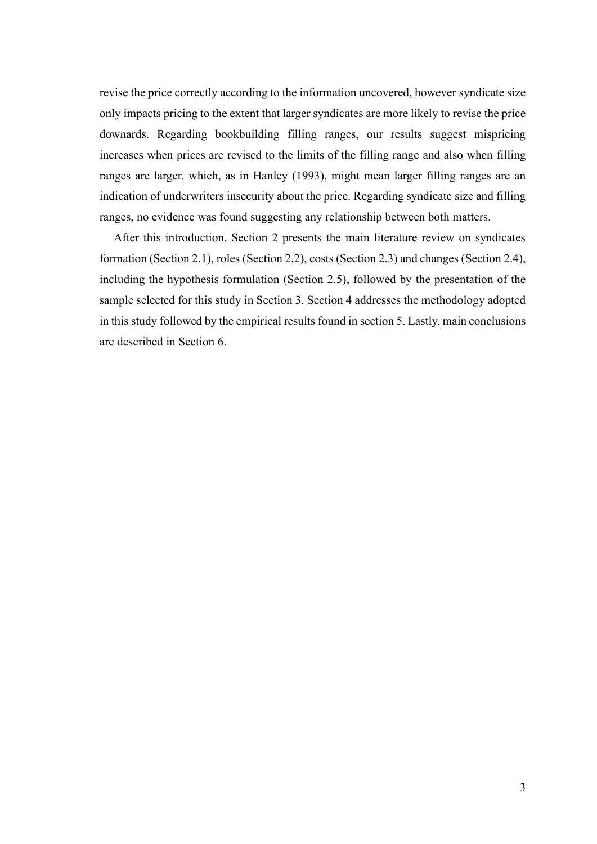revise the price correctly according to the information uncovered, however syndicate size only impacts pricing to the extent that larger syndicates are more likely to revise the price downards. Regarding bookbuilding filling ranges, our results suggest mispricing increases when prices are revised to the limits of the filling range and also when filling ranges are larger, which, as in Hanley (1993), might mean larger filling ranges are an indication of underwriters insecurity about the price. Regarding syndicate size and filling ranges, no evidence was found suggesting any relationship between both matters.

After this introduction, Section 2 presents the main literature review on syndicates formation (Section 2.1), roles (Section 2.2), costs (Section 2.3) and changes (Section 2.4), including the hypothesis formulation (Section 2.5), followed by the presentation of the sample selected for this study in Section 3. Section 4 addresses the methodology adopted in this study followed by the empirical results found in section 5. Lastly, main conclusions are described in Section 6.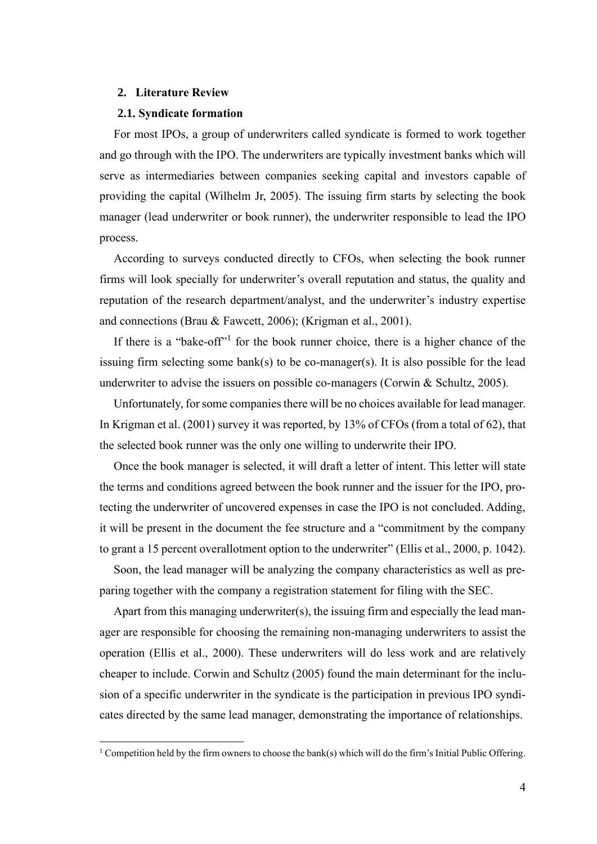#### <span id="page-8-0"></span>**2. Literature Review**

#### <span id="page-8-1"></span>**2.1. Syndicate formation**

For most IPOs, a group of underwriters called syndicate is formed to work together and go through with the IPO. The underwriters are typically investment banks which will serve as intermediaries between companies seeking capital and investors capable of providing the capital (Wilhelm Jr, 2005). The issuing firm starts by selecting the book manager (lead underwriter or book runner), the underwriter responsible to lead the IPO process.

According to surveys conducted directly to CFOs, when selecting the book runner firms will look specially for underwriter's overall reputation and status, the quality and reputation of the research department/analyst, and the underwriter's industry expertise and connections (Brau & Fawcett, 2006); (Krigman et al., 2001).

If there is a "bake-off"<sup>1</sup> for the book runner choice, there is a higher chance of the issuing firm selecting some bank(s) to be co-manager(s). It is also possible for the lead underwriter to advise the issuers on possible co-managers (Corwin & Schultz, 2005).

Unfortunately, for some companies there will be no choices available for lead manager. In Krigman et al. (2001) survey it was reported, by 13% of CFOs (from a total of 62), that the selected book runner was the only one willing to underwrite their IPO.

Once the book manager is selected, it will draft a letter of intent. This letter will state the terms and conditions agreed between the book runner and the issuer for the IPO, protecting the underwriter of uncovered expenses in case the IPO is not concluded. Adding, it will be present in the document the fee structure and a "commitment by the company to grant a 15 percent overallotment option to the underwriter" (Ellis et al., 2000, p. 1042).

Soon, the lead manager will be analyzing the company characteristics as well as preparing together with the company a registration statement for filing with the SEC.

Apart from this managing underwriter(s), the issuing firm and especially the lead manager are responsible for choosing the remaining non-managing underwriters to assist the operation (Ellis et al., 2000). These underwriters will do less work and are relatively cheaper to include. Corwin and Schultz (2005) found the main determinant for the inclusion of a specific underwriter in the syndicate is the participation in previous IPO syndicates directed by the same lead manager, demonstrating the importance of relationships.

<sup>&</sup>lt;sup>1</sup> Competition held by the firm owners to choose the bank(s) which will do the firm's Initial Public Offering.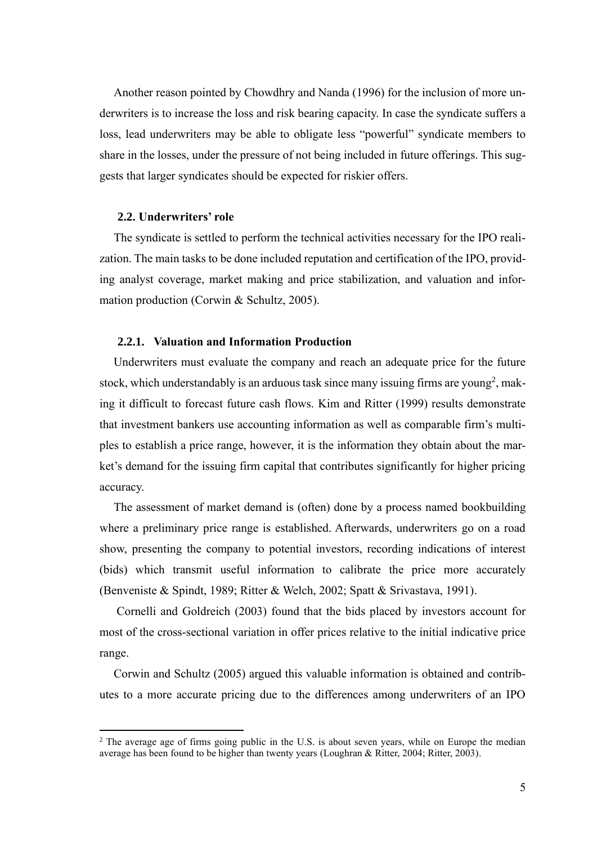Another reason pointed by Chowdhry and Nanda (1996) for the inclusion of more underwriters is to increase the loss and risk bearing capacity. In case the syndicate suffers a loss, lead underwriters may be able to obligate less "powerful" syndicate members to share in the losses, under the pressure of not being included in future offerings. This suggests that larger syndicates should be expected for riskier offers.

#### <span id="page-9-0"></span>**2.2. Underwriters' role**

The syndicate is settled to perform the technical activities necessary for the IPO realization. The main tasks to be done included reputation and certification of the IPO, providing analyst coverage, market making and price stabilization, and valuation and information production (Corwin & Schultz, 2005).

#### <span id="page-9-1"></span>**2.2.1. Valuation and Information Production**

Underwriters must evaluate the company and reach an adequate price for the future stock, which understandably is an arduous task since many issuing firms are young<sup>2</sup>, making it difficult to forecast future cash flows. Kim and Ritter (1999) results demonstrate that investment bankers use accounting information as well as comparable firm's multiples to establish a price range, however, it is the information they obtain about the market's demand for the issuing firm capital that contributes significantly for higher pricing accuracy.

The assessment of market demand is (often) done by a process named bookbuilding where a preliminary price range is established. Afterwards, underwriters go on a road show, presenting the company to potential investors, recording indications of interest (bids) which transmit useful information to calibrate the price more accurately (Benveniste & Spindt, 1989; Ritter & Welch, 2002; Spatt & Srivastava, 1991).

Cornelli and Goldreich (2003) found that the bids placed by investors account for most of the cross-sectional variation in offer prices relative to the initial indicative price range.

Corwin and Schultz (2005) argued this valuable information is obtained and contributes to a more accurate pricing due to the differences among underwriters of an IPO

<sup>&</sup>lt;sup>2</sup> The average age of firms going public in the U.S. is about seven years, while on Europe the median average has been found to be higher than twenty years (Loughran & Ritter, 2004; Ritter, 2003).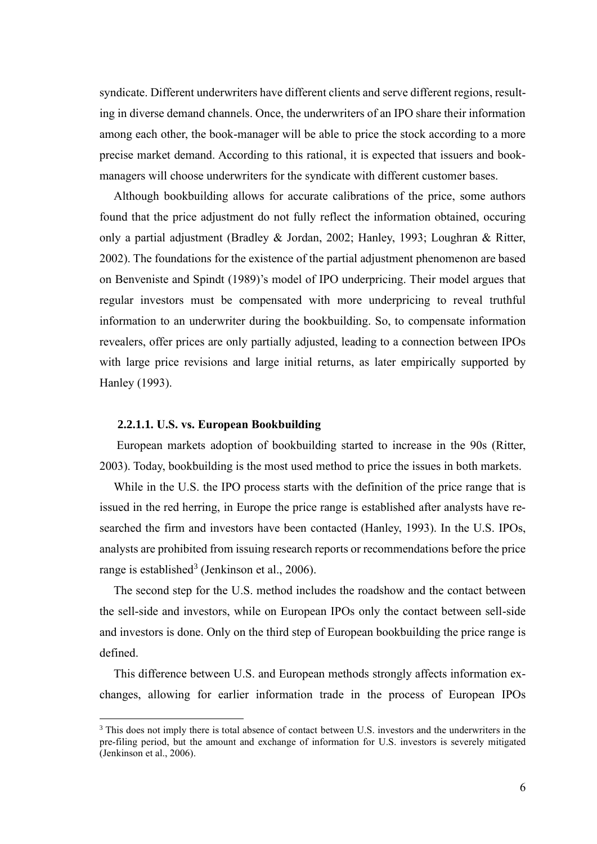syndicate. Different underwriters have different clients and serve different regions, resulting in diverse demand channels. Once, the underwriters of an IPO share their information among each other, the book-manager will be able to price the stock according to a more precise market demand. According to this rational, it is expected that issuers and bookmanagers will choose underwriters for the syndicate with different customer bases.

Although bookbuilding allows for accurate calibrations of the price, some authors found that the price adjustment do not fully reflect the information obtained, occuring only a partial adjustment (Bradley & Jordan, 2002; Hanley, 1993; Loughran & Ritter, 2002). The foundations for the existence of the partial adjustment phenomenon are based on Benveniste and Spindt (1989)'s model of IPO underpricing. Their model argues that regular investors must be compensated with more underpricing to reveal truthful information to an underwriter during the bookbuilding. So, to compensate information revealers, offer prices are only partially adjusted, leading to a connection between IPOs with large price revisions and large initial returns, as later empirically supported by Hanley (1993).

#### <span id="page-10-0"></span>**2.2.1.1. U.S. vs. European Bookbuilding**

European markets adoption of bookbuilding started to increase in the 90s (Ritter, 2003). Today, bookbuilding is the most used method to price the issues in both markets.

While in the U.S. the IPO process starts with the definition of the price range that is issued in the red herring, in Europe the price range is established after analysts have researched the firm and investors have been contacted (Hanley, 1993). In the U.S. IPOs, analysts are prohibited from issuing research reports or recommendations before the price range is established<sup>3</sup> (Jenkinson et al., 2006).

The second step for the U.S. method includes the roadshow and the contact between the sell-side and investors, while on European IPOs only the contact between sell-side and investors is done. Only on the third step of European bookbuilding the price range is defined.

This difference between U.S. and European methods strongly affects information exchanges, allowing for earlier information trade in the process of European IPOs

<sup>&</sup>lt;sup>3</sup> This does not imply there is total absence of contact between U.S. investors and the underwriters in the pre-filing period, but the amount and exchange of information for U.S. investors is severely mitigated (Jenkinson et al., 2006).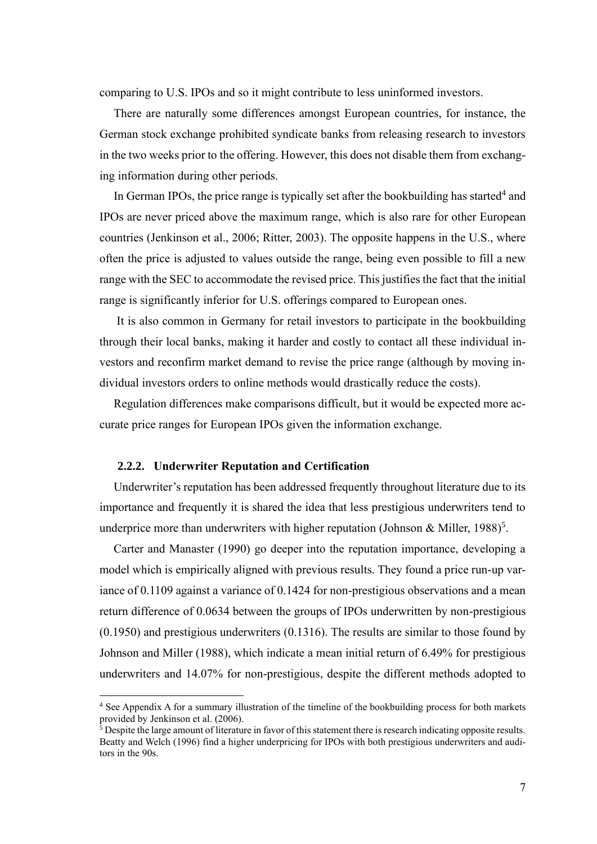comparing to U.S. IPOs and so it might contribute to less uninformed investors.

There are naturally some differences amongst European countries, for instance, the German stock exchange prohibited syndicate banks from releasing research to investors in the two weeks prior to the offering. However, this does not disable them from exchanging information during other periods.

In German IPOs, the price range is typically set after the bookbuilding has started<sup>4</sup> and IPOs are never priced above the maximum range, which is also rare for other European countries (Jenkinson et al., 2006; Ritter, 2003). The opposite happens in the U.S., where often the price is adjusted to values outside the range, being even possible to fill a new range with the SEC to accommodate the revised price. This justifies the fact that the initial range is significantly inferior for U.S. offerings compared to European ones.

It is also common in Germany for retail investors to participate in the bookbuilding through their local banks, making it harder and costly to contact all these individual investors and reconfirm market demand to revise the price range (although by moving individual investors orders to online methods would drastically reduce the costs).

Regulation differences make comparisons difficult, but it would be expected more accurate price ranges for European IPOs given the information exchange.

#### <span id="page-11-0"></span>**2.2.2. Underwriter Reputation and Certification**

Underwriter's reputation has been addressed frequently throughout literature due to its importance and frequently it is shared the idea that less prestigious underwriters tend to underprice more than underwriters with higher reputation (Johnson & Miller, 1988)<sup>5</sup>.

Carter and Manaster (1990) go deeper into the reputation importance, developing a model which is empirically aligned with previous results. They found a price run-up variance of 0.1109 against a variance of 0.1424 for non-prestigious observations and a mean return difference of 0.0634 between the groups of IPOs underwritten by non-prestigious (0.1950) and prestigious underwriters (0.1316). The results are similar to those found by Johnson and Miller (1988), which indicate a mean initial return of 6.49% for prestigious underwriters and 14.07% for non-prestigious, despite the different methods adopted to

<sup>&</sup>lt;sup>4</sup> See Appendix A for a summary illustration of the timeline of the bookbuilding process for both markets provided by Jenkinson et al. (2006).

 $\frac{1}{2}$  Despite the large amount of literature in favor of this statement there is research indicating opposite results. Beatty and Welch (1996) find a higher underpricing for IPOs with both prestigious underwriters and auditors in the 90s.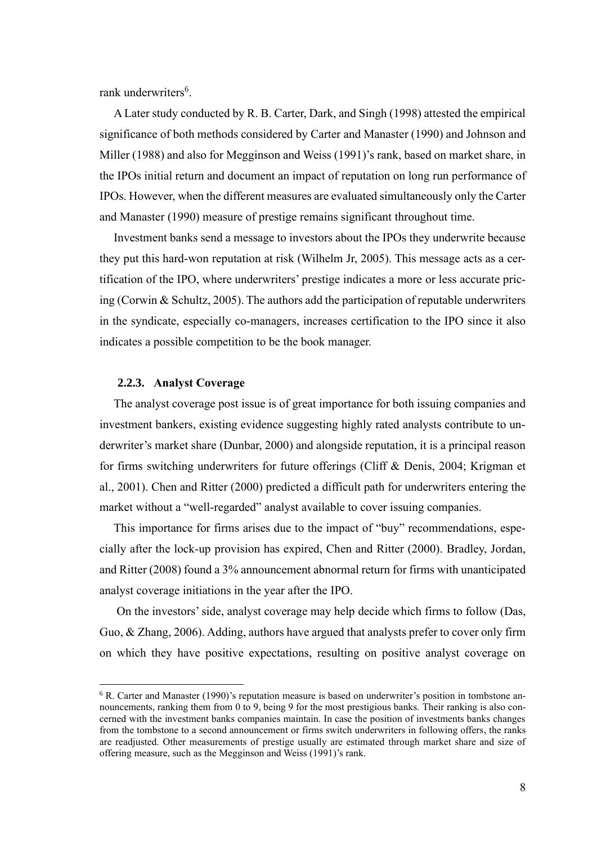rank underwriters<sup>6</sup>.

A Later study conducted by R. B. Carter, Dark, and Singh (1998) attested the empirical significance of both methods considered by Carter and Manaster (1990) and Johnson and Miller (1988) and also for Megginson and Weiss (1991)'s rank, based on market share, in the IPOs initial return and document an impact of reputation on long run performance of IPOs. However, when the different measures are evaluated simultaneously only the Carter and Manaster (1990) measure of prestige remains significant throughout time.

Investment banks send a message to investors about the IPOs they underwrite because they put this hard-won reputation at risk (Wilhelm Jr, 2005). This message acts as a certification of the IPO, where underwriters' prestige indicates a more or less accurate pricing (Corwin & Schultz, 2005). The authors add the participation of reputable underwriters in the syndicate, especially co-managers, increases certification to the IPO since it also indicates a possible competition to be the book manager.

#### <span id="page-12-0"></span>**2.2.3. Analyst Coverage**

The analyst coverage post issue is of great importance for both issuing companies and investment bankers, existing evidence suggesting highly rated analysts contribute to underwriter's market share (Dunbar, 2000) and alongside reputation, it is a principal reason for firms switching underwriters for future offerings (Cliff & Denis, 2004; Krigman et al., 2001). Chen and Ritter (2000) predicted a difficult path for underwriters entering the market without a "well-regarded" analyst available to cover issuing companies.

This importance for firms arises due to the impact of "buy" recommendations, especially after the lock-up provision has expired, Chen and Ritter (2000). Bradley, Jordan, and Ritter (2008) found a 3% announcement abnormal return for firms with unanticipated analyst coverage initiations in the year after the IPO.

On the investors' side, analyst coverage may help decide which firms to follow (Das, Guo, & Zhang, 2006). Adding, authors have argued that analysts prefer to cover only firm on which they have positive expectations, resulting on positive analyst coverage on

<sup>&</sup>lt;sup>6</sup> R. Carter and Manaster (1990)'s reputation measure is based on underwriter's position in tombstone announcements, ranking them from 0 to 9, being 9 for the most prestigious banks. Their ranking is also concerned with the investment banks companies maintain. In case the position of investments banks changes from the tombstone to a second announcement or firms switch underwriters in following offers, the ranks are readjusted. Other measurements of prestige usually are estimated through market share and size of offering measure, such as the Megginson and Weiss (1991)'s rank.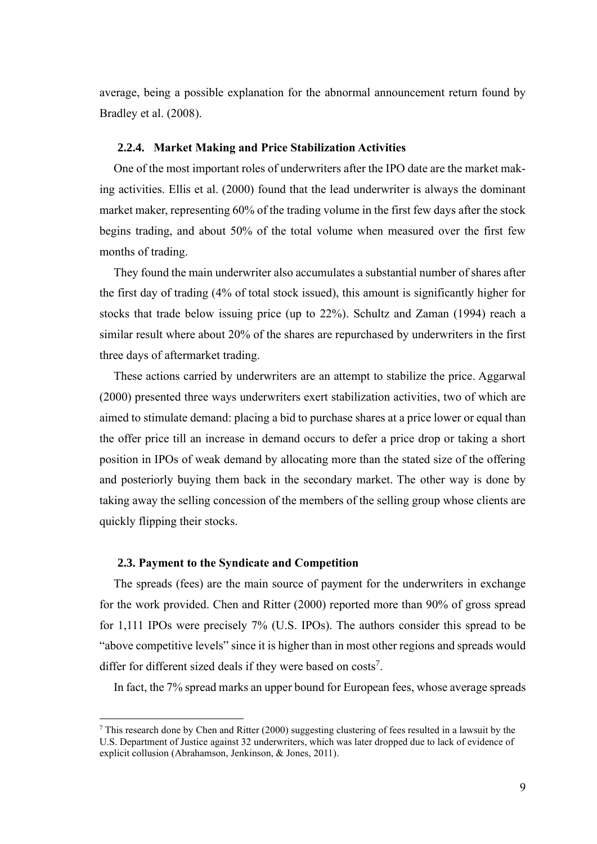average, being a possible explanation for the abnormal announcement return found by Bradley et al. (2008).

#### <span id="page-13-0"></span>**2.2.4. Market Making and Price Stabilization Activities**

One of the most important roles of underwriters after the IPO date are the market making activities. Ellis et al. (2000) found that the lead underwriter is always the dominant market maker, representing 60% of the trading volume in the first few days after the stock begins trading, and about 50% of the total volume when measured over the first few months of trading.

They found the main underwriter also accumulates a substantial number of shares after the first day of trading (4% of total stock issued), this amount is significantly higher for stocks that trade below issuing price (up to 22%). Schultz and Zaman (1994) reach a similar result where about 20% of the shares are repurchased by underwriters in the first three days of aftermarket trading.

These actions carried by underwriters are an attempt to stabilize the price. Aggarwal (2000) presented three ways underwriters exert stabilization activities, two of which are aimed to stimulate demand: placing a bid to purchase shares at a price lower or equal than the offer price till an increase in demand occurs to defer a price drop or taking a short position in IPOs of weak demand by allocating more than the stated size of the offering and posteriorly buying them back in the secondary market. The other way is done by taking away the selling concession of the members of the selling group whose clients are quickly flipping their stocks.

#### <span id="page-13-1"></span>**2.3. Payment to the Syndicate and Competition**

The spreads (fees) are the main source of payment for the underwriters in exchange for the work provided. Chen and Ritter (2000) reported more than 90% of gross spread for 1,111 IPOs were precisely 7% (U.S. IPOs). The authors consider this spread to be "above competitive levels" since it is higher than in most other regions and spreads would differ for different sized deals if they were based on  $costs<sup>7</sup>$ .

In fact, the 7% spread marks an upper bound for European fees, whose average spreads

 $^7$  This research done by Chen and Ritter (2000) suggesting clustering of fees resulted in a lawsuit by the U.S. Department of Justice against 32 underwriters, which was later dropped due to lack of evidence of explicit collusion (Abrahamson, Jenkinson, & Jones, 2011).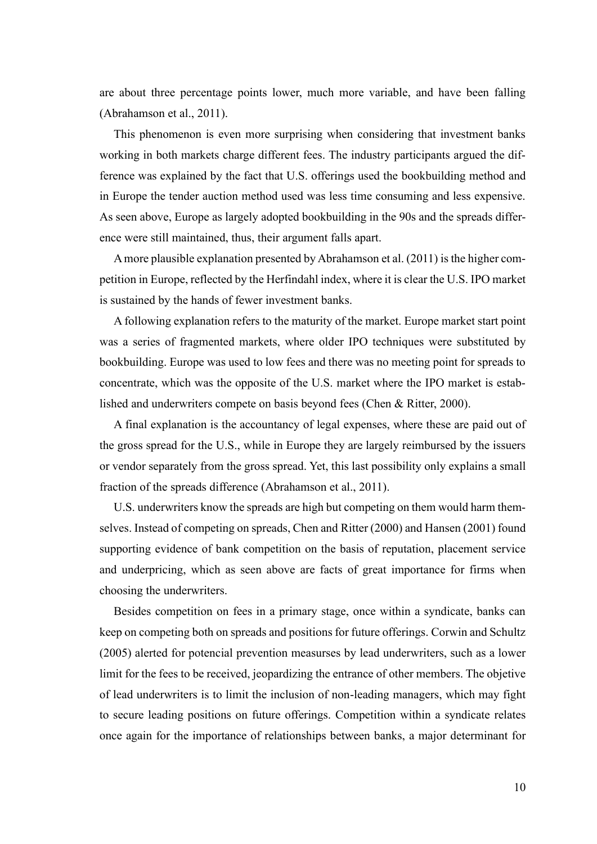are about three percentage points lower, much more variable, and have been falling (Abrahamson et al., 2011).

This phenomenon is even more surprising when considering that investment banks working in both markets charge different fees. The industry participants argued the difference was explained by the fact that U.S. offerings used the bookbuilding method and in Europe the tender auction method used was less time consuming and less expensive. As seen above, Europe as largely adopted bookbuilding in the 90s and the spreads difference were still maintained, thus, their argument falls apart.

A more plausible explanation presented by Abrahamson et al. (2011) is the higher competition in Europe, reflected by the Herfindahl index, where it is clear the U.S. IPO market is sustained by the hands of fewer investment banks.

A following explanation refers to the maturity of the market. Europe market start point was a series of fragmented markets, where older IPO techniques were substituted by bookbuilding. Europe was used to low fees and there was no meeting point for spreads to concentrate, which was the opposite of the U.S. market where the IPO market is established and underwriters compete on basis beyond fees (Chen & Ritter, 2000).

A final explanation is the accountancy of legal expenses, where these are paid out of the gross spread for the U.S., while in Europe they are largely reimbursed by the issuers or vendor separately from the gross spread. Yet, this last possibility only explains a small fraction of the spreads difference (Abrahamson et al., 2011).

U.S. underwriters know the spreads are high but competing on them would harm themselves. Instead of competing on spreads, Chen and Ritter (2000) and Hansen (2001) found supporting evidence of bank competition on the basis of reputation, placement service and underpricing, which as seen above are facts of great importance for firms when choosing the underwriters.

Besides competition on fees in a primary stage, once within a syndicate, banks can keep on competing both on spreads and positions for future offerings. Corwin and Schultz (2005) alerted for potencial prevention measurses by lead underwriters, such as a lower limit for the fees to be received, jeopardizing the entrance of other members. The objetive of lead underwriters is to limit the inclusion of non-leading managers, which may fight to secure leading positions on future offerings. Competition within a syndicate relates once again for the importance of relationships between banks, a major determinant for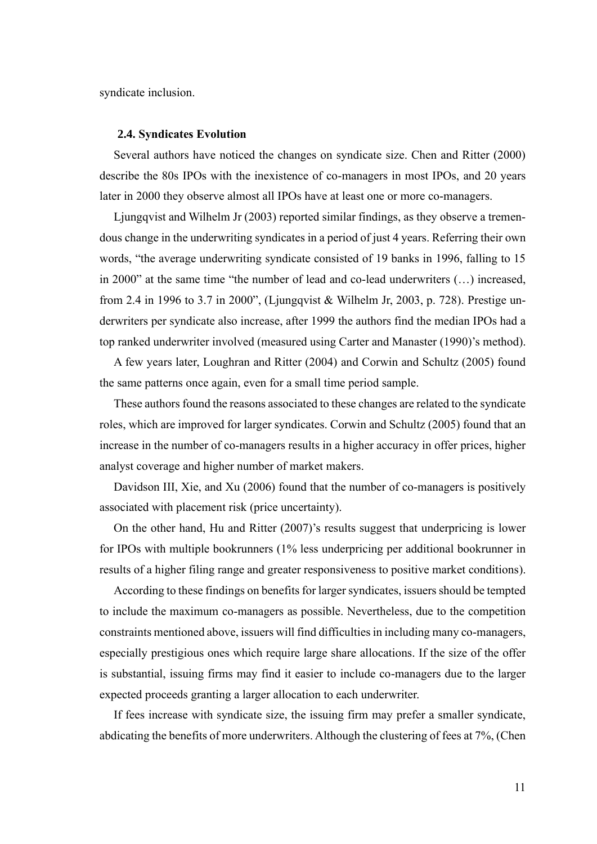syndicate inclusion.

#### <span id="page-15-0"></span>**2.4. Syndicates Evolution**

Several authors have noticed the changes on syndicate size. Chen and Ritter (2000) describe the 80s IPOs with the inexistence of co-managers in most IPOs, and 20 years later in 2000 they observe almost all IPOs have at least one or more co-managers.

Ljungqvist and Wilhelm Jr (2003) reported similar findings, as they observe a tremendous change in the underwriting syndicates in a period of just 4 years. Referring their own words, "the average underwriting syndicate consisted of 19 banks in 1996, falling to 15 in 2000" at the same time "the number of lead and co-lead underwriters (…) increased, from 2.4 in 1996 to 3.7 in 2000", (Ljungqvist & Wilhelm Jr, 2003, p. 728). Prestige underwriters per syndicate also increase, after 1999 the authors find the median IPOs had a top ranked underwriter involved (measured using Carter and Manaster (1990)'s method).

A few years later, Loughran and Ritter (2004) and Corwin and Schultz (2005) found the same patterns once again, even for a small time period sample.

These authors found the reasons associated to these changes are related to the syndicate roles, which are improved for larger syndicates. Corwin and Schultz (2005) found that an increase in the number of co-managers results in a higher accuracy in offer prices, higher analyst coverage and higher number of market makers.

Davidson III, Xie, and Xu (2006) found that the number of co-managers is positively associated with placement risk (price uncertainty).

On the other hand, Hu and Ritter (2007)'s results suggest that underpricing is lower for IPOs with multiple bookrunners (1% less underpricing per additional bookrunner in results of a higher filing range and greater responsiveness to positive market conditions).

According to these findings on benefits for larger syndicates, issuers should be tempted to include the maximum co-managers as possible. Nevertheless, due to the competition constraints mentioned above, issuers will find difficulties in including many co-managers, especially prestigious ones which require large share allocations. If the size of the offer is substantial, issuing firms may find it easier to include co-managers due to the larger expected proceeds granting a larger allocation to each underwriter.

If fees increase with syndicate size, the issuing firm may prefer a smaller syndicate, abdicating the benefits of more underwriters. Although the clustering of fees at 7%, (Chen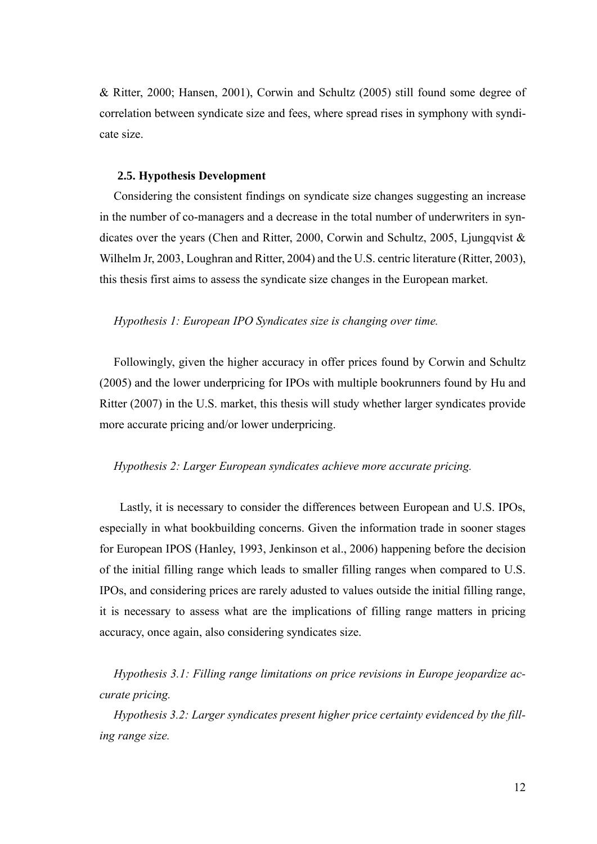& Ritter, 2000; Hansen, 2001), Corwin and Schultz (2005) still found some degree of correlation between syndicate size and fees, where spread rises in symphony with syndicate size.

#### **2.5. Hypothesis Development**

Considering the consistent findings on syndicate size changes suggesting an increase in the number of co-managers and a decrease in the total number of underwriters in syndicates over the years (Chen and Ritter, 2000, Corwin and Schultz, 2005, Ljungqvist & Wilhelm Jr, 2003, Loughran and Ritter, 2004) and the U.S. centric literature (Ritter, 2003), this thesis first aims to assess the syndicate size changes in the European market.

#### *Hypothesis 1: European IPO Syndicates size is changing over time.*

Followingly, given the higher accuracy in offer prices found by Corwin and Schultz (2005) and the lower underpricing for IPOs with multiple bookrunners found by Hu and Ritter (2007) in the U.S. market, this thesis will study whether larger syndicates provide more accurate pricing and/or lower underpricing.

#### *Hypothesis 2: Larger European syndicates achieve more accurate pricing.*

Lastly, it is necessary to consider the differences between European and U.S. IPOs, especially in what bookbuilding concerns. Given the information trade in sooner stages for European IPOS (Hanley, 1993, Jenkinson et al., 2006) happening before the decision of the initial filling range which leads to smaller filling ranges when compared to U.S. IPOs, and considering prices are rarely adusted to values outside the initial filling range, it is necessary to assess what are the implications of filling range matters in pricing accuracy, once again, also considering syndicates size.

*Hypothesis 3.1: Filling range limitations on price revisions in Europe jeopardize accurate pricing.*

*Hypothesis 3.2: Larger syndicates present higher price certainty evidenced by the filling range size.*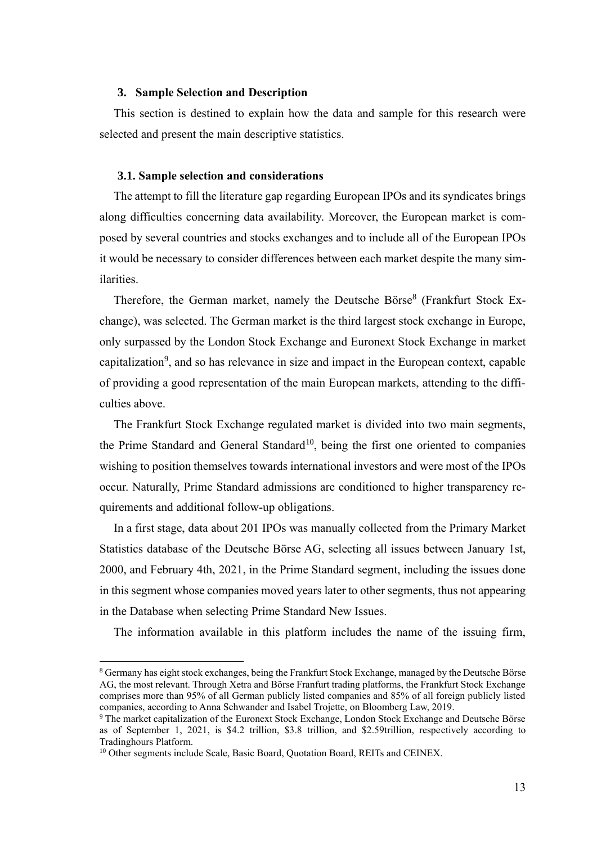## <span id="page-17-0"></span>**3. Sample Selection and Description**

This section is destined to explain how the data and sample for this research were selected and present the main descriptive statistics.

#### <span id="page-17-1"></span>**3.1. Sample selection and considerations**

The attempt to fill the literature gap regarding European IPOs and its syndicates brings along difficulties concerning data availability. Moreover, the European market is composed by several countries and stocks exchanges and to include all of the European IPOs it would be necessary to consider differences between each market despite the many similarities.

Therefore, the German market, namely the Deutsche Börse<sup>8</sup> (Frankfurt Stock Exchange), was selected. The German market is the third largest stock exchange in Europe, only surpassed by the London Stock Exchange and Euronext Stock Exchange in market capitalization<sup>9</sup>, and so has relevance in size and impact in the European context, capable of providing a good representation of the main European markets, attending to the difficulties above.

The Frankfurt Stock Exchange regulated market is divided into two main segments, the Prime Standard and General Standard<sup>10</sup>, being the first one oriented to companies wishing to position themselves towards international investors and were most of the IPOs occur. Naturally, Prime Standard admissions are conditioned to higher transparency requirements and additional follow-up obligations.

In a first stage, data about 201 IPOs was manually collected from the Primary Market Statistics database of the Deutsche Börse AG, selecting all issues between January 1st, 2000, and February 4th, 2021, in the Prime Standard segment, including the issues done in this segment whose companies moved years later to other segments, thus not appearing in the Database when selecting Prime Standard New Issues.

The information available in this platform includes the name of the issuing firm,

<sup>8</sup> Germany has eight stock exchanges, being the Frankfurt Stock Exchange, managed by the Deutsche Börse AG, the most relevant. Through Xetra and Börse Franfurt trading platforms, the Frankfurt Stock Exchange comprises more than 95% of all German publicly listed companies and 85% of all foreign publicly listed companies, according to Anna Schwander and Isabel Trojette, on Bloomberg Law, 2019.

<sup>9</sup> The market capitalization of the Euronext Stock Exchange, London Stock Exchange and Deutsche Börse as of September 1, 2021, is \$4.2 trillion, \$3.8 trillion, and \$2.59trillion, respectively according to Tradinghours Platform.

<sup>&</sup>lt;sup>10</sup> Other segments include Scale, Basic Board, Quotation Board, REITs and CEINEX.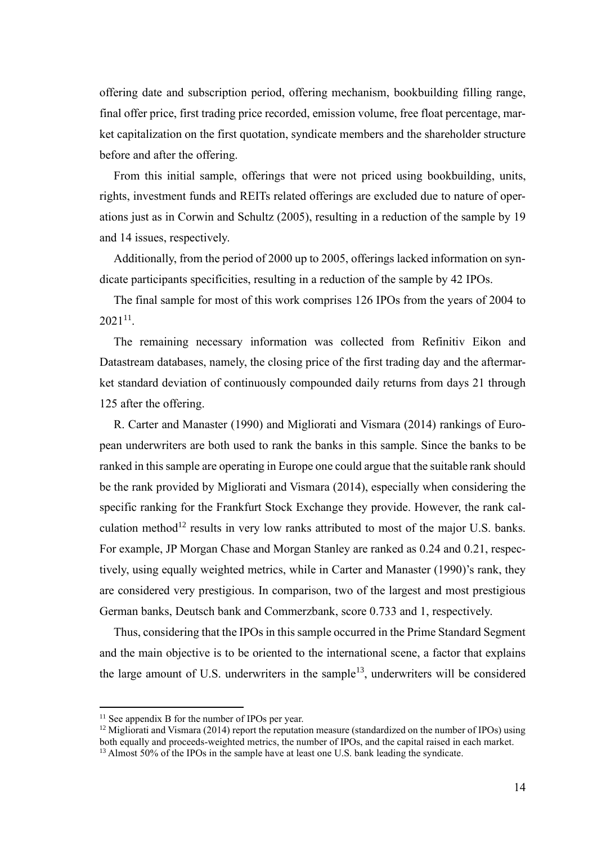offering date and subscription period, offering mechanism, bookbuilding filling range, final offer price, first trading price recorded, emission volume, free float percentage, market capitalization on the first quotation, syndicate members and the shareholder structure before and after the offering.

From this initial sample, offerings that were not priced using bookbuilding, units, rights, investment funds and REITs related offerings are excluded due to nature of operations just as in Corwin and Schultz (2005), resulting in a reduction of the sample by 19 and 14 issues, respectively.

Additionally, from the period of 2000 up to 2005, offerings lacked information on syndicate participants specificities, resulting in a reduction of the sample by 42 IPOs.

The final sample for most of this work comprises 126 IPOs from the years of 2004 to  $2021^{11}$ .

The remaining necessary information was collected from Refinitiv Eikon and Datastream databases, namely, the closing price of the first trading day and the aftermarket standard deviation of continuously compounded daily returns from days 21 through 125 after the offering.

R. Carter and Manaster (1990) and Migliorati and Vismara (2014) rankings of European underwriters are both used to rank the banks in this sample. Since the banks to be ranked in this sample are operating in Europe one could argue that the suitable rank should be the rank provided by Migliorati and Vismara (2014), especially when considering the specific ranking for the Frankfurt Stock Exchange they provide. However, the rank calculation method<sup>12</sup> results in very low ranks attributed to most of the major U.S. banks. For example, JP Morgan Chase and Morgan Stanley are ranked as 0.24 and 0.21, respectively, using equally weighted metrics, while in Carter and Manaster (1990)'s rank, they are considered very prestigious. In comparison, two of the largest and most prestigious German banks, Deutsch bank and Commerzbank, score 0.733 and 1, respectively.

Thus, considering that the IPOs in this sample occurred in the Prime Standard Segment and the main objective is to be oriented to the international scene, a factor that explains the large amount of U.S. underwriters in the sample<sup>13</sup>, underwriters will be considered

 $11$  See appendix B for the number of IPOs per year.

<sup>&</sup>lt;sup>12</sup> Migliorati and Vismara (2014) report the reputation measure (standardized on the number of IPOs) using both equally and proceeds-weighted metrics, the number of IPOs, and the capital raised in each market.

<sup>&</sup>lt;sup>13</sup> Almost 50% of the IPOs in the sample have at least one U.S. bank leading the syndicate.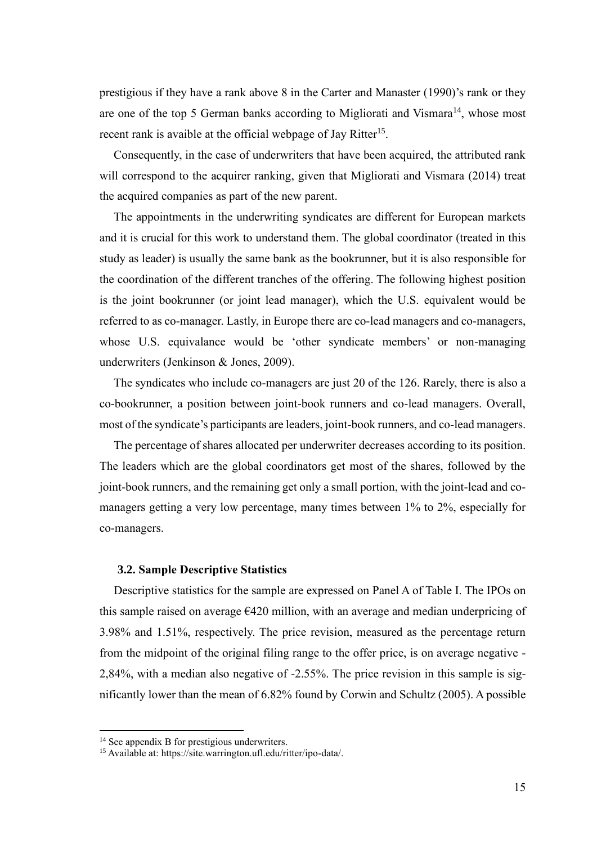prestigious if they have a rank above 8 in the Carter and Manaster (1990)'s rank or they are one of the top 5 German banks according to Migliorati and Vismara<sup>14</sup>, whose most recent rank is avaible at the official webpage of Jay Ritter<sup>15</sup>.

Consequently, in the case of underwriters that have been acquired, the attributed rank will correspond to the acquirer ranking, given that Migliorati and Vismara (2014) treat the acquired companies as part of the new parent.

The appointments in the underwriting syndicates are different for European markets and it is crucial for this work to understand them. The global coordinator (treated in this study as leader) is usually the same bank as the bookrunner, but it is also responsible for the coordination of the different tranches of the offering. The following highest position is the joint bookrunner (or joint lead manager), which the U.S. equivalent would be referred to as co-manager. Lastly, in Europe there are co-lead managers and co-managers, whose U.S. equivalance would be 'other syndicate members' or non-managing underwriters (Jenkinson & Jones, 2009).

The syndicates who include co-managers are just 20 of the 126. Rarely, there is also a co-bookrunner, a position between joint-book runners and co-lead managers. Overall, most of the syndicate's participants are leaders, joint-book runners, and co-lead managers.

The percentage of shares allocated per underwriter decreases according to its position. The leaders which are the global coordinators get most of the shares, followed by the joint-book runners, and the remaining get only a small portion, with the joint-lead and comanagers getting a very low percentage, many times between 1% to 2%, especially for co-managers.

#### <span id="page-19-0"></span>**3.2. Sample Descriptive Statistics**

Descriptive statistics for the sample are expressed on Panel A of Table I. The IPOs on this sample raised on average  $E$ 420 million, with an average and median underpricing of 3.98% and 1.51%, respectively. The price revision, measured as the percentage return from the midpoint of the original filing range to the offer price, is on average negative - 2,84%, with a median also negative of -2.55%. The price revision in this sample is significantly lower than the mean of 6.82% found by Corwin and Schultz (2005). A possible

<sup>&</sup>lt;sup>14</sup> See appendix B for prestigious underwriters.

<sup>15</sup> Available at: https://site.warrington.ufl.edu/ritter/ipo-data/.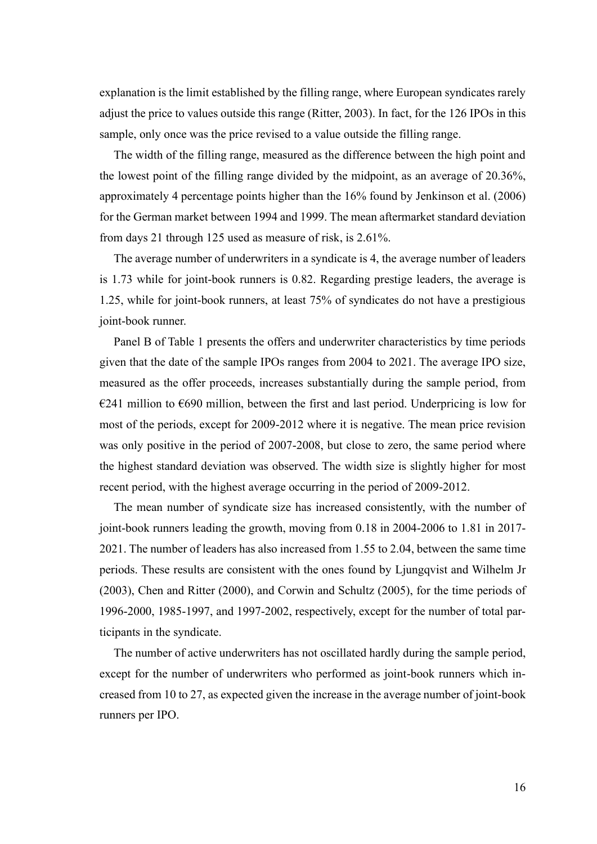explanation is the limit established by the filling range, where European syndicates rarely adjust the price to values outside this range (Ritter, 2003). In fact, for the 126 IPOs in this sample, only once was the price revised to a value outside the filling range.

The width of the filling range, measured as the difference between the high point and the lowest point of the filling range divided by the midpoint, as an average of 20.36%, approximately 4 percentage points higher than the 16% found by Jenkinson et al. (2006) for the German market between 1994 and 1999. The mean aftermarket standard deviation from days 21 through 125 used as measure of risk, is 2.61%.

The average number of underwriters in a syndicate is 4, the average number of leaders is 1.73 while for joint-book runners is 0.82. Regarding prestige leaders, the average is 1.25, while for joint-book runners, at least 75% of syndicates do not have a prestigious joint-book runner.

Panel B of Table 1 presents the offers and underwriter characteristics by time periods given that the date of the sample IPOs ranges from 2004 to 2021. The average IPO size, measured as the offer proceeds, increases substantially during the sample period, from  $E241$  million to  $E690$  million, between the first and last period. Underpricing is low for most of the periods, except for 2009-2012 where it is negative. The mean price revision was only positive in the period of 2007-2008, but close to zero, the same period where the highest standard deviation was observed. The width size is slightly higher for most recent period, with the highest average occurring in the period of 2009-2012.

The mean number of syndicate size has increased consistently, with the number of joint-book runners leading the growth, moving from 0.18 in 2004-2006 to 1.81 in 2017- 2021. The number of leaders has also increased from 1.55 to 2.04, between the same time periods. These results are consistent with the ones found by Ljungqvist and Wilhelm Jr (2003), Chen and Ritter (2000), and Corwin and Schultz (2005), for the time periods of 1996-2000, 1985-1997, and 1997-2002, respectively, except for the number of total participants in the syndicate.

The number of active underwriters has not oscillated hardly during the sample period, except for the number of underwriters who performed as joint-book runners which increased from 10 to 27, as expected given the increase in the average number of joint-book runners per IPO.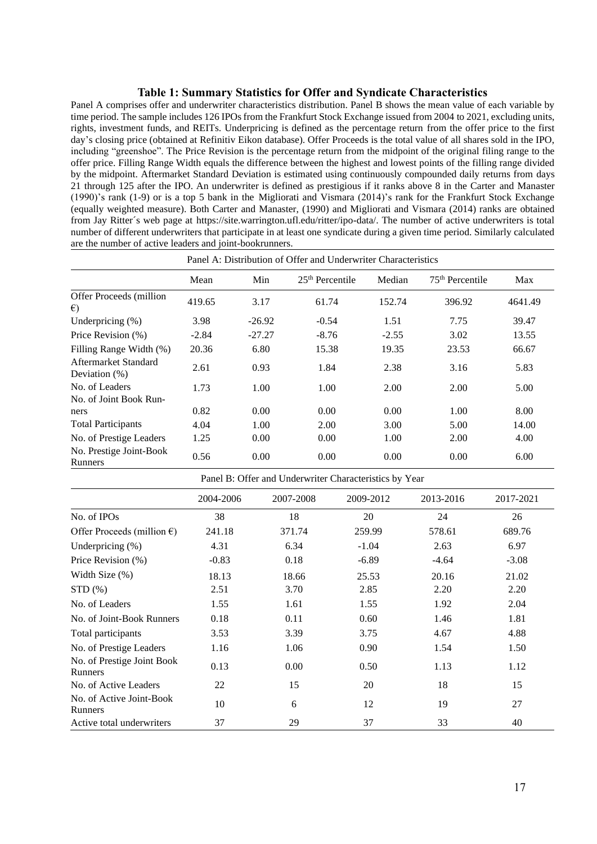#### **Table 1: Summary Statistics for Offer and Syndicate Characteristics**

<span id="page-21-0"></span>Panel A comprises offer and underwriter characteristics distribution. Panel B shows the mean value of each variable by time period. The sample includes 126 IPOs from the Frankfurt Stock Exchange issued from 2004 to 2021, excluding units, rights, investment funds, and REITs. Underpricing is defined as the percentage return from the offer price to the first day's closing price (obtained at Refinitiv Eikon database). Offer Proceeds is the total value of all shares sold in the IPO, including "greenshoe". The Price Revision is the percentage return from the midpoint of the original filing range to the offer price. Filling Range Width equals the difference between the highest and lowest points of the filling range divided by the midpoint. Aftermarket Standard Deviation is estimated using continuously compounded daily returns from days 21 through 125 after the IPO. An underwriter is defined as prestigious if it ranks above 8 in the Carter and Manaster (1990)'s rank (1-9) or is a top 5 bank in the Migliorati and Vismara (2014)'s rank for the Frankfurt Stock Exchange (equally weighted measure). Both Carter and Manaster, (1990) and Migliorati and Vismara (2014) ranks are obtained from Jay Ritter´s web page at https://site.warrington.ufl.edu/ritter/ipo-data/. The number of active underwriters is total number of different underwriters that participate in at least one syndicate during a given time period. Similarly calculated are the number of active leaders and joint-bookrunners.

| Panel A: Distribution of Offer and Underwriter Characteristics |         |          |                   |         |                   |         |
|----------------------------------------------------------------|---------|----------|-------------------|---------|-------------------|---------|
|                                                                | Mean    | Min      | $25th$ Percentile | Median  | $75th$ Percentile | Max     |
| Offer Proceeds (million)<br>$\epsilon$                         | 419.65  | 3.17     | 61.74             | 152.74  | 396.92            | 4641.49 |
| Underpricing $(\%)$                                            | 3.98    | $-26.92$ | $-0.54$           | 1.51    | 7.75              | 39.47   |
| Price Revision (%)                                             | $-2.84$ | $-27.27$ | $-8.76$           | $-2.55$ | 3.02              | 13.55   |
| Filling Range Width (%)                                        | 20.36   | 6.80     | 15.38             | 19.35   | 23.53             | 66.67   |
| Aftermarket Standard<br>Deviation $(\%)$                       | 2.61    | 0.93     | 1.84              | 2.38    | 3.16              | 5.83    |
| No. of Leaders                                                 | 1.73    | 1.00     | 1.00              | 2.00    | 2.00              | 5.00    |
| No. of Joint Book Run-                                         |         |          |                   |         |                   |         |
| ners                                                           | 0.82    | 0.00     | 0.00              | 0.00    | 1.00              | 8.00    |
| <b>Total Participants</b>                                      | 4.04    | 1.00     | 2.00              | 3.00    | 5.00              | 14.00   |
| No. of Prestige Leaders                                        | 1.25    | 0.00     | 0.00              | 1.00    | 2.00              | 4.00    |
| No. Prestige Joint-Book<br>Runners                             | 0.56    | 0.00     | 0.00              | 0.00    | 0.00              | 6.00    |

| Panel B: Offer and Underwriter Characteristics by Year |           |           |           |           |           |  |
|--------------------------------------------------------|-----------|-----------|-----------|-----------|-----------|--|
|                                                        | 2004-2006 | 2007-2008 | 2009-2012 | 2013-2016 | 2017-2021 |  |
| No. of IPOs                                            | 38        | 18        | 20        | 24        | 26        |  |
| Offer Proceeds (million $\epsilon$ )                   | 241.18    | 371.74    | 259.99    | 578.61    | 689.76    |  |
| Underpricing $(\%)$                                    | 4.31      | 6.34      | $-1.04$   | 2.63      | 6.97      |  |
| Price Revision (%)                                     | $-0.83$   | 0.18      | $-6.89$   | $-4.64$   | $-3.08$   |  |
| Width Size (%)                                         | 18.13     | 18.66     | 25.53     | 20.16     | 21.02     |  |
| STD(%)                                                 | 2.51      | 3.70      | 2.85      | 2.20      | 2.20      |  |
| No. of Leaders                                         | 1.55      | 1.61      | 1.55      | 1.92      | 2.04      |  |
| No. of Joint-Book Runners                              | 0.18      | 0.11      | 0.60      | 1.46      | 1.81      |  |
| Total participants                                     | 3.53      | 3.39      | 3.75      | 4.67      | 4.88      |  |
| No. of Prestige Leaders                                | 1.16      | 1.06      | 0.90      | 1.54      | 1.50      |  |
| No. of Prestige Joint Book<br>Runners                  | 0.13      | 0.00      | 0.50      | 1.13      | 1.12      |  |
| No. of Active Leaders                                  | 22        | 15        | 20        | 18        | 15        |  |
| No. of Active Joint-Book<br>Runners                    | 10        | 6         | 12        | 19        | 27        |  |
| Active total underwriters                              | 37        | 29        | 37        | 33        | 40        |  |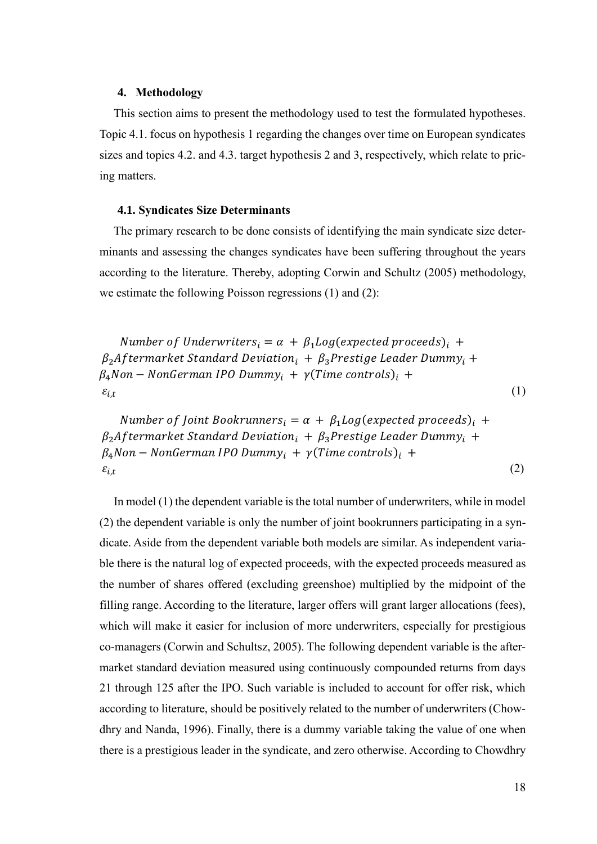#### <span id="page-22-0"></span>**4. Methodology**

This section aims to present the methodology used to test the formulated hypotheses. Topic 4.1. focus on hypothesis 1 regarding the changes over time on European syndicates sizes and topics 4.2. and 4.3. target hypothesis 2 and 3, respectively, which relate to pricing matters.

#### <span id="page-22-1"></span>**4.1. Syndicates Size Determinants**

The primary research to be done consists of identifying the main syndicate size determinants and assessing the changes syndicates have been suffering throughout the years according to the literature. Thereby, adopting Corwin and Schultz (2005) methodology, we estimate the following Poisson regressions (1) and (2):

Number of Underwriters<sub>i</sub> =  $\alpha$  +  $\beta_1 Log(expected proceeds)_i$  +  $\beta_2$ Aftermarket Standard Deviation<sub>i</sub> +  $\beta_3$ Prestige Leader Dummy<sub>i</sub> +  $\beta_4$ Non – NonGerman IPO Dummy<sub>i</sub> +  $\gamma$ (Time controls)<sub>i</sub> +  $\varepsilon_{i,t}$ (1)

Number of Joint Bookrunners<sub>i</sub> =  $\alpha$  +  $\beta_1 Log$  (expected proceeds)<sub>i</sub> +  $\beta_2$ Aftermarket Standard Deviation<sub>i</sub> +  $\beta_3$ Prestige Leader Dummy<sub>i</sub> +  $\beta_4$ Non – NonGerman IPO Dummy<sub>i</sub> +  $\gamma$ (Time controls)<sub>i</sub> +  $\varepsilon_{i,t}$ (2)

In model (1) the dependent variable is the total number of underwriters, while in model (2) the dependent variable is only the number of joint bookrunners participating in a syndicate. Aside from the dependent variable both models are similar. As independent variable there is the natural log of expected proceeds, with the expected proceeds measured as the number of shares offered (excluding greenshoe) multiplied by the midpoint of the filling range. According to the literature, larger offers will grant larger allocations (fees), which will make it easier for inclusion of more underwriters, especially for prestigious co-managers (Corwin and Schultsz, 2005). The following dependent variable is the aftermarket standard deviation measured using continuously compounded returns from days 21 through 125 after the IPO. Such variable is included to account for offer risk, which according to literature, should be positively related to the number of underwriters (Chowdhry and Nanda, 1996). Finally, there is a dummy variable taking the value of one when there is a prestigious leader in the syndicate, and zero otherwise. According to Chowdhry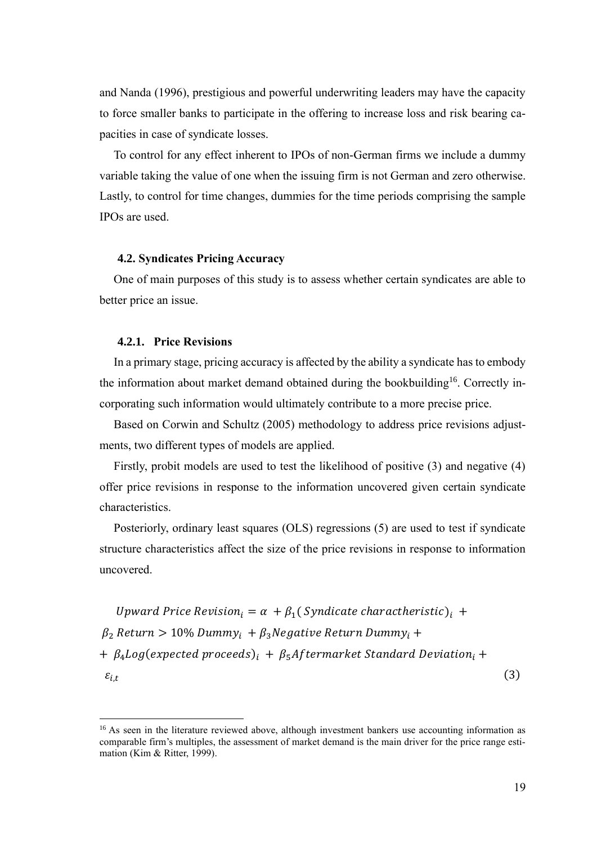and Nanda (1996), prestigious and powerful underwriting leaders may have the capacity to force smaller banks to participate in the offering to increase loss and risk bearing capacities in case of syndicate losses.

To control for any effect inherent to IPOs of non-German firms we include a dummy variable taking the value of one when the issuing firm is not German and zero otherwise. Lastly, to control for time changes, dummies for the time periods comprising the sample IPOs are used.

## <span id="page-23-0"></span>**4.2. Syndicates Pricing Accuracy**

One of main purposes of this study is to assess whether certain syndicates are able to better price an issue.

#### <span id="page-23-1"></span>**4.2.1. Price Revisions**

In a primary stage, pricing accuracy is affected by the ability a syndicate has to embody the information about market demand obtained during the bookbuilding<sup>16</sup>. Correctly incorporating such information would ultimately contribute to a more precise price.

Based on Corwin and Schultz (2005) methodology to address price revisions adjustments, two different types of models are applied.

Firstly, probit models are used to test the likelihood of positive (3) and negative (4) offer price revisions in response to the information uncovered given certain syndicate characteristics.

Posteriorly, ordinary least squares (OLS) regressions (5) are used to test if syndicate structure characteristics affect the size of the price revisions in response to information uncovered.

Upward Price Revision<sub>i</sub> =  $\alpha + \beta_1$ (Syndicate charactheristic)<sub>i</sub> +  $\beta_2$  Return > 10% Dummy<sub>i</sub> +  $\beta_3$ Negative Return Dummy<sub>i</sub> +  $+ \beta_4 Log(expected proceeds)_i + \beta_5 After market Standard Deviation_i +$  $\varepsilon_{i.t}$ (3)

<sup>&</sup>lt;sup>16</sup> As seen in the literature reviewed above, although investment bankers use accounting information as comparable firm's multiples, the assessment of market demand is the main driver for the price range estimation (Kim & Ritter, 1999).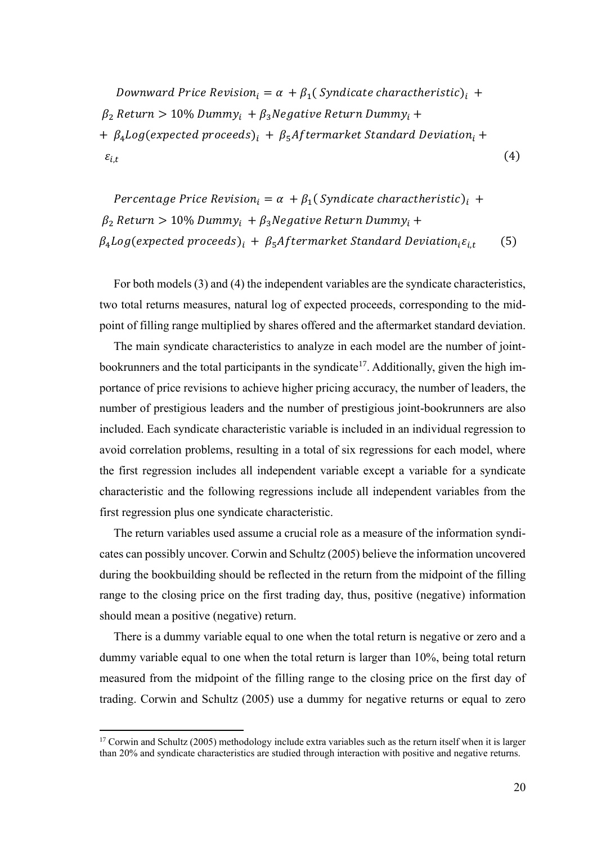Downward Price Revision<sub>i</sub> =  $\alpha$  +  $\beta_1$ ( Syndicate charactheristic)<sub>i</sub> +  $\beta_2$  Return > 10% Dummy<sub>i</sub> +  $\beta_3$ Negative Return Dummy<sub>i</sub> + +  $\beta_4 Log(expected proceeds)_i + \beta_5 After market Standard Deviation_i +$  $\mathcal{E}_{i,t}$ (4)

Percentage Price Revision<sub>i</sub> =  $\alpha + \beta_1$ (Syndicate charactheristic)<sub>i</sub> +  $\beta_2$  Return > 10% Dummy<sub>i</sub> +  $\beta_3$ Negative Return Dummy<sub>i</sub> +  $\beta_4 Log(expected proceeds)_i + \beta_5 After market Standard Deviation_i \varepsilon_{i,t}$ (5)

For both models (3) and (4) the independent variables are the syndicate characteristics, two total returns measures, natural log of expected proceeds, corresponding to the midpoint of filling range multiplied by shares offered and the aftermarket standard deviation.

The main syndicate characteristics to analyze in each model are the number of jointbookrunners and the total participants in the syndicate<sup>17</sup>. Additionally, given the high importance of price revisions to achieve higher pricing accuracy, the number of leaders, the number of prestigious leaders and the number of prestigious joint-bookrunners are also included. Each syndicate characteristic variable is included in an individual regression to avoid correlation problems, resulting in a total of six regressions for each model, where the first regression includes all independent variable except a variable for a syndicate characteristic and the following regressions include all independent variables from the first regression plus one syndicate characteristic.

The return variables used assume a crucial role as a measure of the information syndicates can possibly uncover. Corwin and Schultz (2005) believe the information uncovered during the bookbuilding should be reflected in the return from the midpoint of the filling range to the closing price on the first trading day, thus, positive (negative) information should mean a positive (negative) return.

There is a dummy variable equal to one when the total return is negative or zero and a dummy variable equal to one when the total return is larger than 10%, being total return measured from the midpoint of the filling range to the closing price on the first day of trading. Corwin and Schultz (2005) use a dummy for negative returns or equal to zero

<sup>&</sup>lt;sup>17</sup> Corwin and Schultz (2005) methodology include extra variables such as the return itself when it is larger than 20% and syndicate characteristics are studied through interaction with positive and negative returns.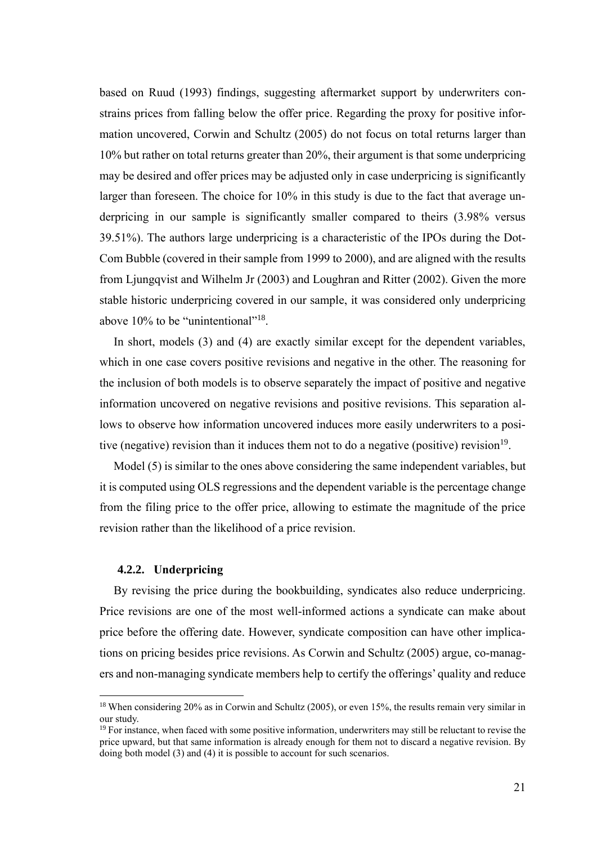based on Ruud (1993) findings, suggesting aftermarket support by underwriters constrains prices from falling below the offer price. Regarding the proxy for positive information uncovered, Corwin and Schultz (2005) do not focus on total returns larger than 10% but rather on total returns greater than 20%, their argument is that some underpricing may be desired and offer prices may be adjusted only in case underpricing is significantly larger than foreseen. The choice for 10% in this study is due to the fact that average underpricing in our sample is significantly smaller compared to theirs (3.98% versus 39.51%). The authors large underpricing is a characteristic of the IPOs during the Dot-Com Bubble (covered in their sample from 1999 to 2000), and are aligned with the results from Ljungqvist and Wilhelm Jr (2003) and Loughran and Ritter (2002). Given the more stable historic underpricing covered in our sample, it was considered only underpricing above 10% to be "unintentional"<sup>18</sup>.

In short, models (3) and (4) are exactly similar except for the dependent variables, which in one case covers positive revisions and negative in the other. The reasoning for the inclusion of both models is to observe separately the impact of positive and negative information uncovered on negative revisions and positive revisions. This separation allows to observe how information uncovered induces more easily underwriters to a positive (negative) revision than it induces them not to do a negative (positive) revision<sup>19</sup>.

Model (5) is similar to the ones above considering the same independent variables, but it is computed using OLS regressions and the dependent variable is the percentage change from the filing price to the offer price, allowing to estimate the magnitude of the price revision rather than the likelihood of a price revision.

#### <span id="page-25-0"></span>**4.2.2. Underpricing**

By revising the price during the bookbuilding, syndicates also reduce underpricing. Price revisions are one of the most well-informed actions a syndicate can make about price before the offering date. However, syndicate composition can have other implications on pricing besides price revisions. As Corwin and Schultz (2005) argue, co-managers and non-managing syndicate members help to certify the offerings' quality and reduce

<sup>&</sup>lt;sup>18</sup> When considering 20% as in Corwin and Schultz (2005), or even 15%, the results remain very similar in our study.

<sup>&</sup>lt;sup>19</sup> For instance, when faced with some positive information, underwriters may still be reluctant to revise the price upward, but that same information is already enough for them not to discard a negative revision. By doing both model (3) and (4) it is possible to account for such scenarios.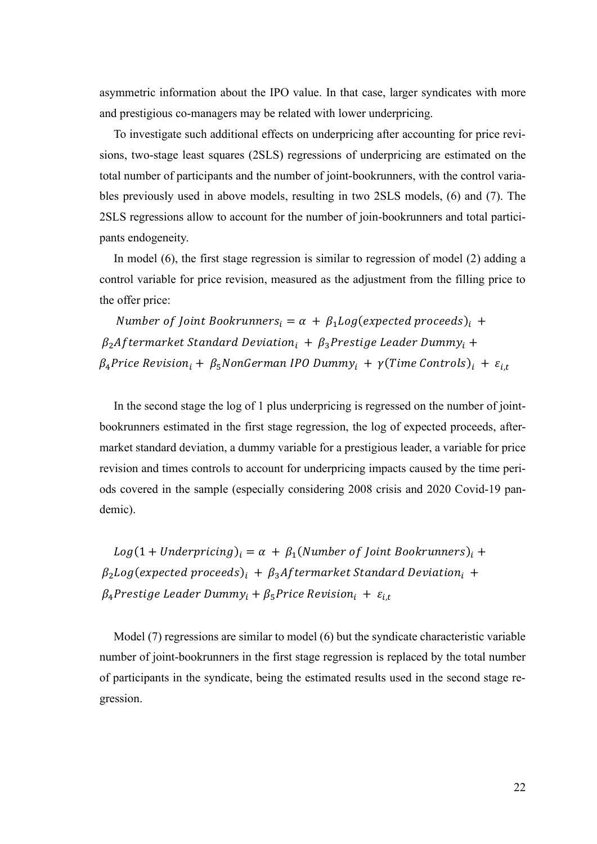asymmetric information about the IPO value. In that case, larger syndicates with more and prestigious co-managers may be related with lower underpricing.

To investigate such additional effects on underpricing after accounting for price revisions, two-stage least squares (2SLS) regressions of underpricing are estimated on the total number of participants and the number of joint-bookrunners, with the control variables previously used in above models, resulting in two 2SLS models, (6) and (7). The 2SLS regressions allow to account for the number of join-bookrunners and total participants endogeneity.

In model (6), the first stage regression is similar to regression of model (2) adding a control variable for price revision, measured as the adjustment from the filling price to the offer price:

Number of Joint Bookrunners<sub>i</sub> =  $\alpha$  +  $\beta_1 Log(expected proceeds)_i$  +  $\beta_2$ Aftermarket Standard Deviation<sub>i</sub> +  $\beta_3$ Prestige Leader Dummy<sub>i</sub> +  $\beta_4$ Price Revision<sub>i</sub> +  $\beta_5$ NonGerman IPO Dummy<sub>i</sub> +  $\gamma$ (Time Controls)<sub>i</sub> +  $\varepsilon_{i,t}$ 

In the second stage the log of 1 plus underpricing is regressed on the number of jointbookrunners estimated in the first stage regression, the log of expected proceeds, aftermarket standard deviation, a dummy variable for a prestigious leader, a variable for price revision and times controls to account for underpricing impacts caused by the time periods covered in the sample (especially considering 2008 crisis and 2020 Covid-19 pandemic).

 $Log(1 + Understanding)_i = \alpha + \beta_1 (Number\ of\ Joint\ Bookrunners)_i +$  $\beta_2$ Log(expected proceeds)<sub>i</sub> +  $\beta_3$ Aftermarket Standard Deviation<sub>i</sub> +  $\beta_4$ Prestige Leader Dummy<sub>i</sub> +  $\beta_5$ Price Revision<sub>i</sub> +  $\varepsilon_{i,t}$ 

Model (7) regressions are similar to model (6) but the syndicate characteristic variable number of joint-bookrunners in the first stage regression is replaced by the total number of participants in the syndicate, being the estimated results used in the second stage regression.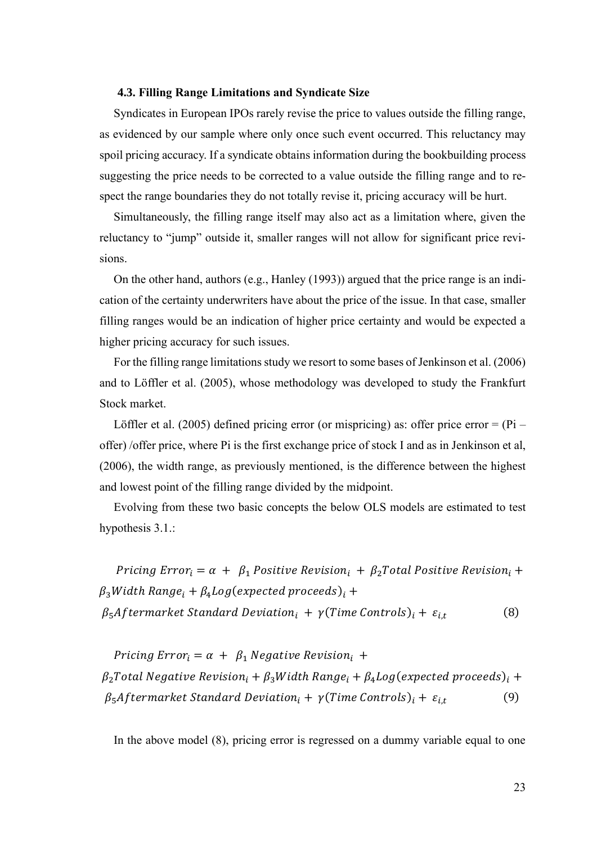#### <span id="page-27-0"></span>**4.3. Filling Range Limitations and Syndicate Size**

Syndicates in European IPOs rarely revise the price to values outside the filling range, as evidenced by our sample where only once such event occurred. This reluctancy may spoil pricing accuracy. If a syndicate obtains information during the bookbuilding process suggesting the price needs to be corrected to a value outside the filling range and to respect the range boundaries they do not totally revise it, pricing accuracy will be hurt.

Simultaneously, the filling range itself may also act as a limitation where, given the reluctancy to "jump" outside it, smaller ranges will not allow for significant price revisions.

On the other hand, authors (e.g., Hanley (1993)) argued that the price range is an indication of the certainty underwriters have about the price of the issue. In that case, smaller filling ranges would be an indication of higher price certainty and would be expected a higher pricing accuracy for such issues.

For the filling range limitations study we resort to some bases of Jenkinson et al. (2006) and to Löffler et al. (2005), whose methodology was developed to study the Frankfurt Stock market.

Löffler et al. (2005) defined pricing error (or mispricing) as: offer price error =  $(Pi - P)$ offer) /offer price, where Pi is the first exchange price of stock I and as in Jenkinson et al, (2006), the width range, as previously mentioned, is the difference between the highest and lowest point of the filling range divided by the midpoint.

Evolving from these two basic concepts the below OLS models are estimated to test hypothesis 3.1.:

Pricing Error<sub>i</sub> =  $\alpha$  +  $\beta_1$  Positive Revision<sub>i</sub> +  $\beta_2$ Total Positive Revision<sub>i</sub> +  $\beta_3 Width Range_i + \beta_4 Log(expected proceeds)_i +$  $\beta_5$ Aftermarket Standard Deviation<sub>i</sub> +  $\gamma$ (Time Controls)<sub>i</sub> +  $\varepsilon_{i,t}$ (8)

Pricing Error<sub>i</sub> =  $\alpha$  +  $\beta_1$  Negative Revision<sub>i</sub> +  $\beta_2$ Total Negative Revision<sub>i</sub> +  $\beta_3$ Width Range<sub>i</sub> +  $\beta_4$ Log(expected proceeds)<sub>i</sub> +  $\beta_5$ Aftermarket Standard Deviation<sub>i</sub> +  $\gamma$ (Time Controls)<sub>i</sub> +  $\varepsilon_{i,t}$ (9)

In the above model (8), pricing error is regressed on a dummy variable equal to one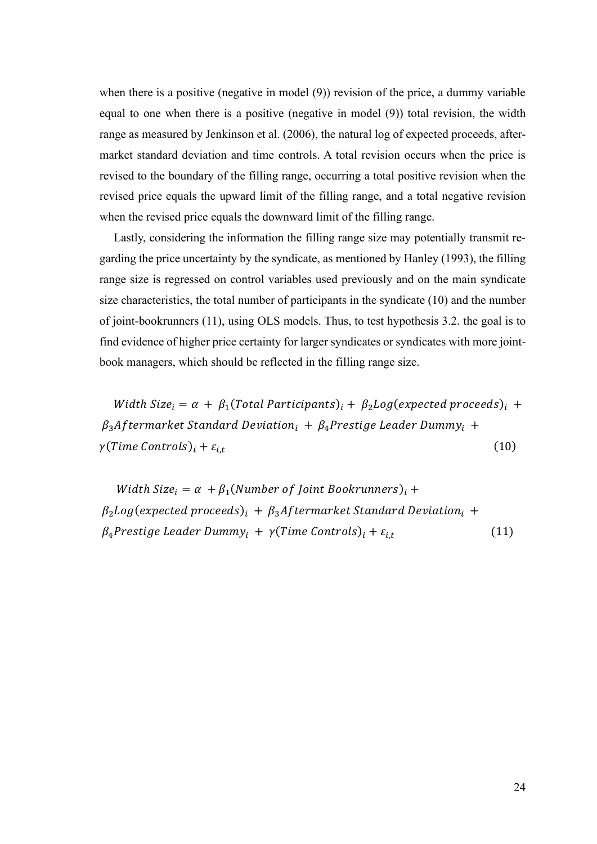when there is a positive (negative in model (9)) revision of the price, a dummy variable equal to one when there is a positive (negative in model (9)) total revision, the width range as measured by Jenkinson et al. (2006), the natural log of expected proceeds, aftermarket standard deviation and time controls. A total revision occurs when the price is revised to the boundary of the filling range, occurring a total positive revision when the revised price equals the upward limit of the filling range, and a total negative revision when the revised price equals the downward limit of the filling range.

Lastly, considering the information the filling range size may potentially transmit regarding the price uncertainty by the syndicate, as mentioned by Hanley (1993), the filling range size is regressed on control variables used previously and on the main syndicate size characteristics, the total number of participants in the syndicate (10) and the number of joint-bookrunners (11), using OLS models. Thus, to test hypothesis 3.2. the goal is to find evidence of higher price certainty for larger syndicates or syndicates with more jointbook managers, which should be reflected in the filling range size.

Width Size<sub>i</sub> =  $\alpha$  +  $\beta_1$ (Total Participants)<sub>i</sub> +  $\beta_2 Log(expected$  proceeds)<sub>i</sub> +  $\beta_3$ Aftermarket Standard Deviation<sub>i</sub> +  $\beta_4$ Prestige Leader Dummy<sub>i</sub> +  $\gamma$ (Time Controls)<sub>i</sub> +  $\varepsilon$ <sub>it</sub> (10)

Width Size<sub>i</sub> =  $\alpha$  +  $\beta_1$ (Number of Joint Bookrunners)<sub>i</sub> +  $\beta_2$ Log(expected proceeds)<sub>i</sub> +  $\beta_3$ Aftermarket Standard Deviation<sub>i</sub> +  $\beta_4$ Prestige Leader Dummy<sub>i</sub> +  $\gamma$ (Time Controls)<sub>i</sub> +  $\varepsilon_{i,t}$  (11)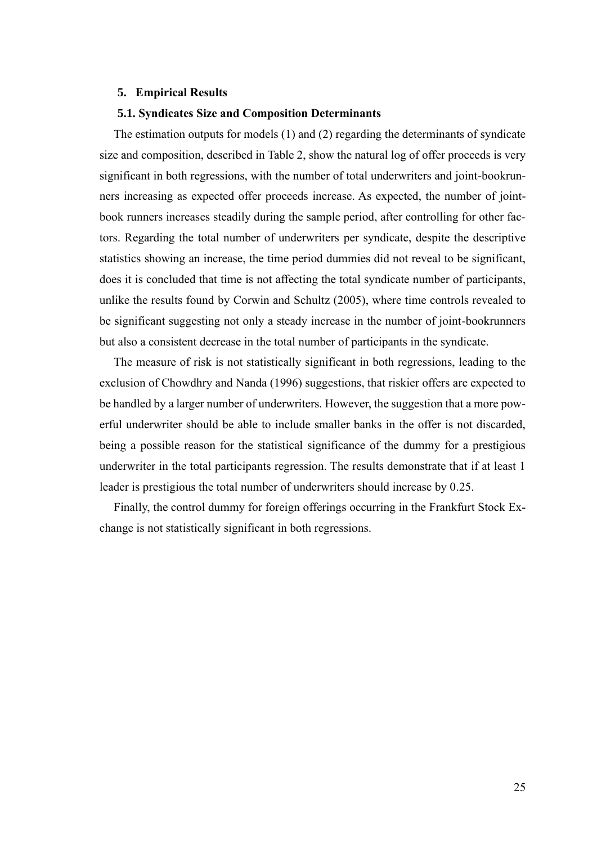#### <span id="page-29-0"></span>**5. Empirical Results**

#### <span id="page-29-1"></span>**5.1. Syndicates Size and Composition Determinants**

The estimation outputs for models (1) and (2) regarding the determinants of syndicate size and composition, described in Table 2, show the natural log of offer proceeds is very significant in both regressions, with the number of total underwriters and joint-bookrunners increasing as expected offer proceeds increase. As expected, the number of jointbook runners increases steadily during the sample period, after controlling for other factors. Regarding the total number of underwriters per syndicate, despite the descriptive statistics showing an increase, the time period dummies did not reveal to be significant, does it is concluded that time is not affecting the total syndicate number of participants, unlike the results found by Corwin and Schultz (2005), where time controls revealed to be significant suggesting not only a steady increase in the number of joint-bookrunners but also a consistent decrease in the total number of participants in the syndicate.

The measure of risk is not statistically significant in both regressions, leading to the exclusion of Chowdhry and Nanda (1996) suggestions, that riskier offers are expected to be handled by a larger number of underwriters. However, the suggestion that a more powerful underwriter should be able to include smaller banks in the offer is not discarded, being a possible reason for the statistical significance of the dummy for a prestigious underwriter in the total participants regression. The results demonstrate that if at least 1 leader is prestigious the total number of underwriters should increase by 0.25.

Finally, the control dummy for foreign offerings occurring in the Frankfurt Stock Exchange is not statistically significant in both regressions.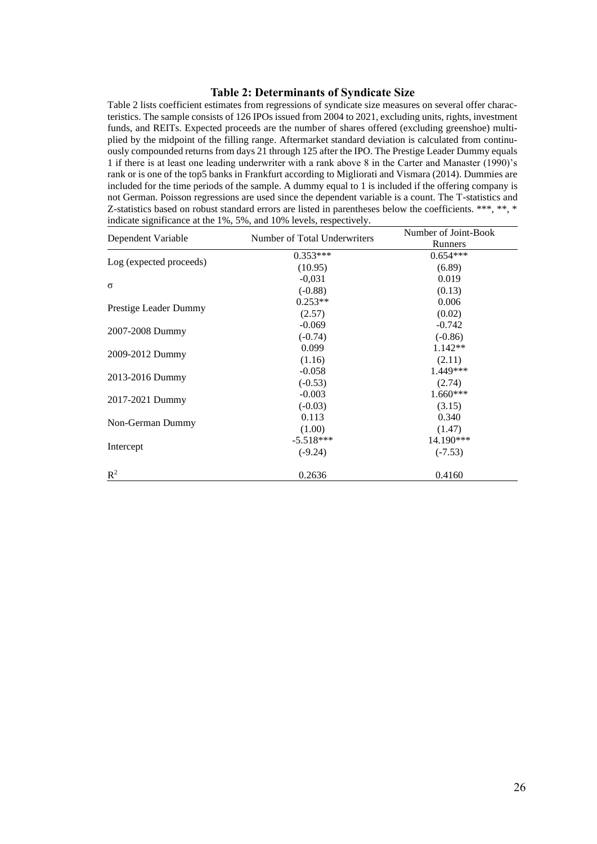#### **Table 2: Determinants of Syndicate Size**

<span id="page-30-0"></span>Table 2 lists coefficient estimates from regressions of syndicate size measures on several offer characteristics. The sample consists of 126 IPOs issued from 2004 to 2021, excluding units, rights, investment funds, and REITs. Expected proceeds are the number of shares offered (excluding greenshoe) multiplied by the midpoint of the filling range. Aftermarket standard deviation is calculated from continuously compounded returns from days 21 through 125 after the IPO. The Prestige Leader Dummy equals 1 if there is at least one leading underwriter with a rank above 8 in the Carter and Manaster (1990)'s rank or is one of the top5 banks in Frankfurt according to Migliorati and Vismara (2014). Dummies are included for the time periods of the sample. A dummy equal to 1 is included if the offering company is not German. Poisson regressions are used since the dependent variable is a count. The T-statistics and Z-statistics based on robust standard errors are listed in parentheses below the coefficients. \*\*\*, \*\*, \* indicate significance at the 1%, 5%, and 10% levels, respectively.

| Dependent Variable      | Number of Total Underwriters | Number of Joint-Book<br>Runners |
|-------------------------|------------------------------|---------------------------------|
|                         | $0.353***$                   | $0.654***$                      |
| Log (expected proceeds) | (10.95)                      | (6.89)                          |
|                         | $-0.031$                     | 0.019                           |
| $\sigma$                | $(-0.88)$                    | (0.13)                          |
| Prestige Leader Dummy   | $0.253**$                    | 0.006                           |
|                         | (2.57)                       | (0.02)                          |
| 2007-2008 Dummy         | $-0.069$                     | $-0.742$                        |
|                         | $(-0.74)$                    | $(-0.86)$                       |
| 2009-2012 Dummy         | 0.099                        | $1.142**$                       |
|                         | (1.16)                       | (2.11)                          |
|                         | $-0.058$                     | 1.449***                        |
| 2013-2016 Dummy         | $(-0.53)$                    | (2.74)                          |
|                         | $-0.003$                     | $1.660***$                      |
| 2017-2021 Dummy         | $(-0.03)$                    | (3.15)                          |
|                         | 0.113                        | 0.340                           |
| Non-German Dummy        | (1.00)                       | (1.47)                          |
|                         | $-5.518***$                  | 14.190***                       |
| Intercept               | $(-9.24)$                    | $(-7.53)$                       |
| $\mathbb{R}^2$          | 0.2636                       | 0.4160                          |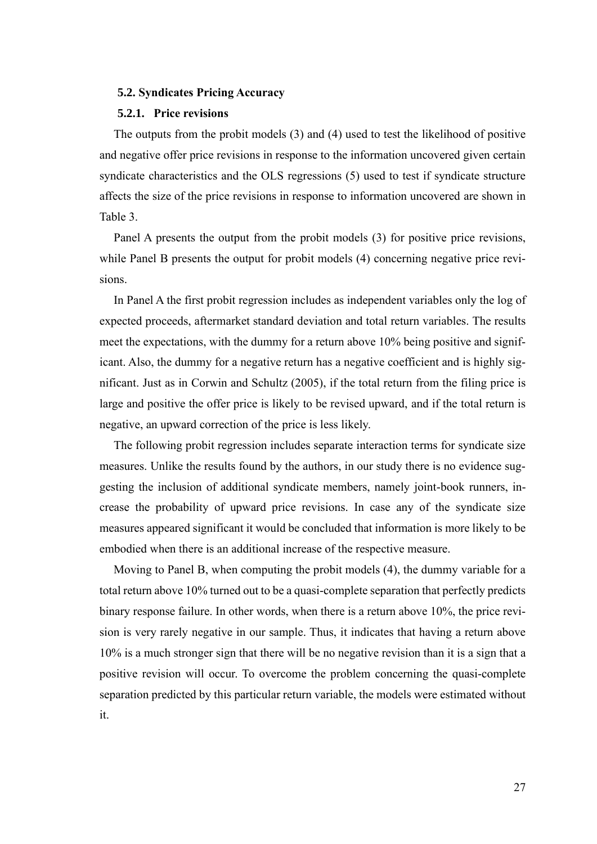#### <span id="page-31-0"></span>**5.2. Syndicates Pricing Accuracy**

#### <span id="page-31-1"></span>**5.2.1. Price revisions**

The outputs from the probit models (3) and (4) used to test the likelihood of positive and negative offer price revisions in response to the information uncovered given certain syndicate characteristics and the OLS regressions (5) used to test if syndicate structure affects the size of the price revisions in response to information uncovered are shown in Table 3.

Panel A presents the output from the probit models (3) for positive price revisions, while Panel B presents the output for probit models (4) concerning negative price revisions.

In Panel A the first probit regression includes as independent variables only the log of expected proceeds, aftermarket standard deviation and total return variables. The results meet the expectations, with the dummy for a return above 10% being positive and significant. Also, the dummy for a negative return has a negative coefficient and is highly significant. Just as in Corwin and Schultz (2005), if the total return from the filing price is large and positive the offer price is likely to be revised upward, and if the total return is negative, an upward correction of the price is less likely.

The following probit regression includes separate interaction terms for syndicate size measures. Unlike the results found by the authors, in our study there is no evidence suggesting the inclusion of additional syndicate members, namely joint-book runners, increase the probability of upward price revisions. In case any of the syndicate size measures appeared significant it would be concluded that information is more likely to be embodied when there is an additional increase of the respective measure.

Moving to Panel B, when computing the probit models (4), the dummy variable for a total return above 10% turned out to be a quasi-complete separation that perfectly predicts binary response failure. In other words, when there is a return above 10%, the price revision is very rarely negative in our sample. Thus, it indicates that having a return above 10% is a much stronger sign that there will be no negative revision than it is a sign that a positive revision will occur. To overcome the problem concerning the quasi-complete separation predicted by this particular return variable, the models were estimated without it.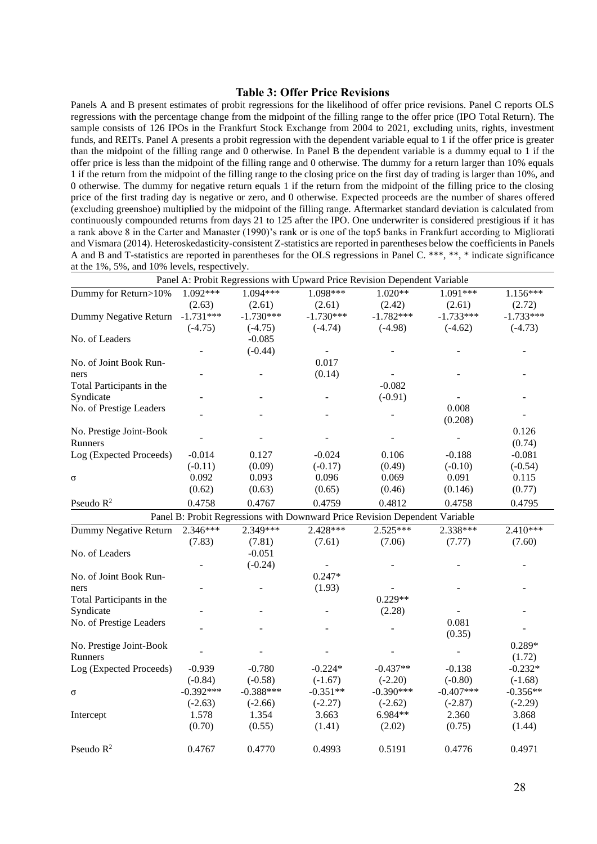#### **Table 3: Offer Price Revisions**

<span id="page-32-0"></span>Panels A and B present estimates of probit regressions for the likelihood of offer price revisions. Panel C reports OLS regressions with the percentage change from the midpoint of the filling range to the offer price (IPO Total Return). The sample consists of 126 IPOs in the Frankfurt Stock Exchange from 2004 to 2021, excluding units, rights, investment funds, and REITs. Panel A presents a probit regression with the dependent variable equal to 1 if the offer price is greater than the midpoint of the filling range and 0 otherwise. In Panel B the dependent variable is a dummy equal to 1 if the offer price is less than the midpoint of the filling range and 0 otherwise. The dummy for a return larger than 10% equals 1 if the return from the midpoint of the filling range to the closing price on the first day of trading is larger than 10%, and 0 otherwise. The dummy for negative return equals 1 if the return from the midpoint of the filling price to the closing price of the first trading day is negative or zero, and 0 otherwise. Expected proceeds are the number of shares offered (excluding greenshoe) multiplied by the midpoint of the filling range. Aftermarket standard deviation is calculated from continuously compounded returns from days 21 to 125 after the IPO. One underwriter is considered prestigious if it has a rank above 8 in the Carter and Manaster (1990)'s rank or is one of the top5 banks in Frankfurt according to Migliorati and Vismara (2014). Heteroskedasticity-consistent Z-statistics are reported in parentheses below the coefficients in Panels A and B and T-statistics are reported in parentheses for the OLS regressions in Panel C. \*\*\*, \*\*, \* indicate significance at the 1%, 5%, and 10% levels, respectively.

|                           |             |             |             | Panel A: Probit Regressions with Upward Price Revision Dependent Variable   |             |             |
|---------------------------|-------------|-------------|-------------|-----------------------------------------------------------------------------|-------------|-------------|
| Dummy for Return>10%      | $1.092***$  | $1.094***$  | 1.098***    | $1.020**$                                                                   | 1.091***    | $1.156***$  |
|                           | (2.63)      | (2.61)      | (2.61)      | (2.42)                                                                      | (2.61)      | (2.72)      |
| Dummy Negative Return     | $-1.731***$ | $-1.730***$ | $-1.730***$ | $-1.782***$                                                                 | $-1.733***$ | $-1.733***$ |
|                           | $(-4.75)$   | $(-4.75)$   | $(-4.74)$   | $(-4.98)$                                                                   | $(-4.62)$   | $(-4.73)$   |
| No. of Leaders            |             | $-0.085$    |             |                                                                             |             |             |
|                           |             | $(-0.44)$   |             |                                                                             |             |             |
| No. of Joint Book Run-    |             |             | 0.017       |                                                                             |             |             |
| ners                      |             |             | (0.14)      |                                                                             |             |             |
| Total Participants in the |             |             |             | $-0.082$                                                                    |             |             |
| Syndicate                 |             |             |             | $(-0.91)$                                                                   |             |             |
| No. of Prestige Leaders   |             |             |             |                                                                             | 0.008       |             |
|                           |             |             |             |                                                                             | (0.208)     |             |
| No. Prestige Joint-Book   |             |             |             |                                                                             |             | 0.126       |
| Runners                   |             |             |             |                                                                             |             | (0.74)      |
| Log (Expected Proceeds)   | $-0.014$    | 0.127       | $-0.024$    | 0.106                                                                       | $-0.188$    | $-0.081$    |
|                           | $(-0.11)$   | (0.09)      | $(-0.17)$   | (0.49)                                                                      | $(-0.10)$   | $(-0.54)$   |
| $\sigma$                  | 0.092       | 0.093       | 0.096       | 0.069                                                                       | 0.091       | 0.115       |
|                           | (0.62)      | (0.63)      | (0.65)      | (0.46)                                                                      | (0.146)     | (0.77)      |
| Pseudo $R^2$              | 0.4758      | 0.4767      | 0.4759      | 0.4812                                                                      | 0.4758      | 0.4795      |
|                           |             |             |             | Panel B: Probit Regressions with Downward Price Revision Dependent Variable |             |             |
| Dummy Negative Return     | $2.346***$  | $2.349***$  | $2.428***$  | $2.525***$                                                                  | 2.338***    | $2.410***$  |
|                           | (7.83)      | (7.81)      | (7.61)      | (7.06)                                                                      | (7.77)      | (7.60)      |
| No. of Leaders            |             | $-0.051$    |             |                                                                             |             |             |
|                           |             | $(-0.24)$   |             |                                                                             |             |             |
| No. of Joint Book Run-    |             |             | $0.247*$    |                                                                             |             |             |
| ners                      |             |             | (1.93)      |                                                                             |             |             |
| Total Participants in the |             |             |             | $0.229**$                                                                   |             |             |
| Syndicate                 |             |             |             | (2.28)                                                                      |             |             |
| No. of Prestige Leaders   |             |             |             |                                                                             | 0.081       |             |
|                           |             |             |             |                                                                             | (0.35)      |             |
| No. Prestige Joint-Book   |             |             |             |                                                                             |             | 0.289*      |
| Runners                   |             |             |             |                                                                             |             | (1.72)      |
| Log (Expected Proceeds)   | $-0.939$    | $-0.780$    | $-0.224*$   | $-0.437**$                                                                  | $-0.138$    | $-0.232*$   |
|                           | $(-0.84)$   | $(-0.58)$   | $(-1.67)$   | $(-2.20)$                                                                   | $(-0.80)$   | $(-1.68)$   |
| $\sigma$                  | $-0.392***$ | $-0.388***$ | $-0.351**$  | $-0.390***$                                                                 | $-0.407***$ | $-0.356**$  |
|                           | $(-2.63)$   | $(-2.66)$   | $(-2.27)$   | $(-2.62)$                                                                   | $(-2.87)$   | $(-2.29)$   |
| Intercept                 | 1.578       | 1.354       | 3.663       | 6.984**                                                                     | 2.360       | 3.868       |
|                           | (0.70)      | (0.55)      | (1.41)      | (2.02)                                                                      | (0.75)      | (1.44)      |
| Pseudo $R^2$              | 0.4767      | 0.4770      | 0.4993      | 0.5191                                                                      | 0.4776      | 0.4971      |
|                           |             |             |             |                                                                             |             |             |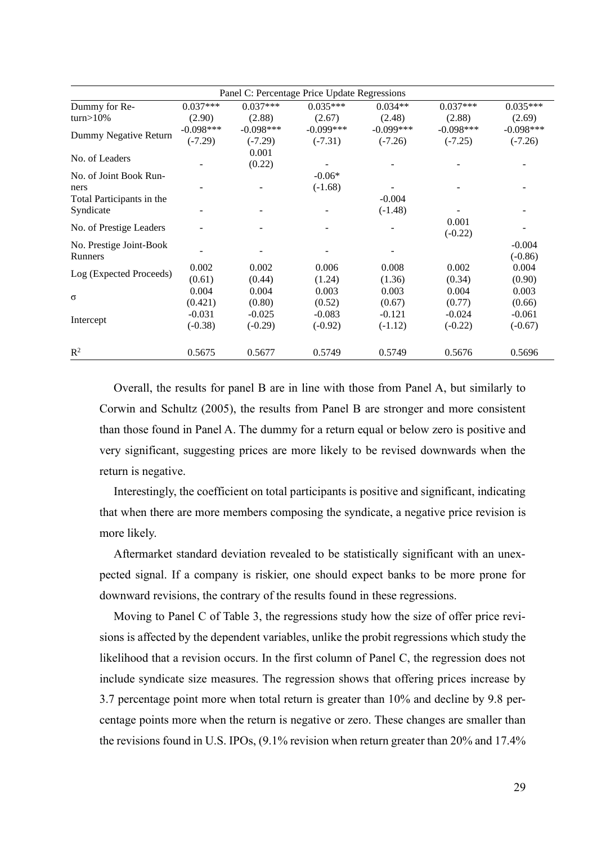| Panel C: Percentage Price Update Regressions |             |             |             |             |             |             |
|----------------------------------------------|-------------|-------------|-------------|-------------|-------------|-------------|
| Dummy for Re-                                | $0.037***$  | $0.037***$  | $0.035***$  | $0.034**$   | $0.037***$  | $0.035***$  |
| $turn > 10\%$                                | (2.90)      | (2.88)      | (2.67)      | (2.48)      | (2.88)      | (2.69)      |
| Dummy Negative Return                        | $-0.098***$ | $-0.098***$ | $-0.099***$ | $-0.099***$ | $-0.098***$ | $-0.098***$ |
|                                              | $(-7.29)$   | $(-7.29)$   | $(-7.31)$   | $(-7.26)$   | $(-7.25)$   | $(-7.26)$   |
| No. of Leaders                               |             | 0.001       |             |             |             |             |
|                                              |             | (0.22)      |             |             |             |             |
| No. of Joint Book Run-                       |             |             | $-0.06*$    |             |             |             |
| ners                                         |             |             | $(-1.68)$   |             |             |             |
| Total Participants in the                    |             |             |             | $-0.004$    |             |             |
| Syndicate                                    |             |             |             | $(-1.48)$   |             |             |
| No. of Prestige Leaders                      |             |             |             |             | 0.001       |             |
|                                              |             |             |             |             | $(-0.22)$   |             |
| No. Prestige Joint-Book                      |             |             |             |             |             | $-0.004$    |
| <b>Runners</b>                               |             |             |             |             |             | $(-0.86)$   |
| Log (Expected Proceeds)                      | 0.002       | 0.002       | 0.006       | 0.008       | 0.002       | 0.004       |
|                                              | (0.61)      | (0.44)      | (1.24)      | (1.36)      | (0.34)      | (0.90)      |
| $\sigma$                                     | 0.004       | 0.004       | 0.003       | 0.003       | 0.004       | 0.003       |
|                                              | (0.421)     | (0.80)      | (0.52)      | (0.67)      | (0.77)      | (0.66)      |
| Intercept                                    | $-0.031$    | $-0.025$    | $-0.083$    | $-0.121$    | $-0.024$    | $-0.061$    |
|                                              | $(-0.38)$   | $(-0.29)$   | $(-0.92)$   | $(-1.12)$   | $(-0.22)$   | $(-0.67)$   |
|                                              |             |             |             |             |             |             |
| $\mathbb{R}^2$                               | 0.5675      | 0.5677      | 0.5749      | 0.5749      | 0.5676      | 0.5696      |

Overall, the results for panel B are in line with those from Panel A, but similarly to Corwin and Schultz (2005), the results from Panel B are stronger and more consistent than those found in Panel A. The dummy for a return equal or below zero is positive and very significant, suggesting prices are more likely to be revised downwards when the return is negative.

Interestingly, the coefficient on total participants is positive and significant, indicating that when there are more members composing the syndicate, a negative price revision is more likely.

Aftermarket standard deviation revealed to be statistically significant with an unexpected signal. If a company is riskier, one should expect banks to be more prone for downward revisions, the contrary of the results found in these regressions.

Moving to Panel C of Table 3, the regressions study how the size of offer price revisions is affected by the dependent variables, unlike the probit regressions which study the likelihood that a revision occurs. In the first column of Panel C, the regression does not include syndicate size measures. The regression shows that offering prices increase by 3.7 percentage point more when total return is greater than 10% and decline by 9.8 percentage points more when the return is negative or zero. These changes are smaller than the revisions found in U.S. IPOs, (9.1% revision when return greater than 20% and 17.4%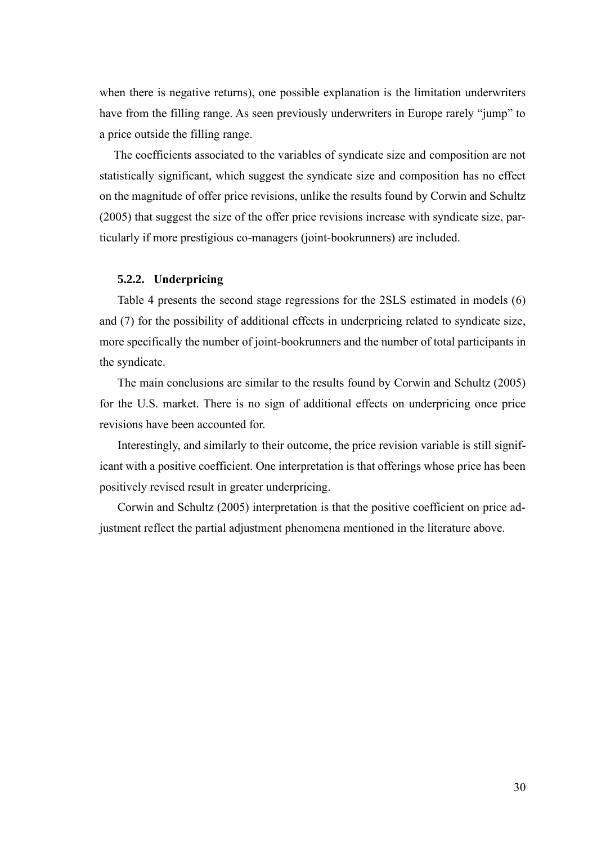when there is negative returns), one possible explanation is the limitation underwriters have from the filling range. As seen previously underwriters in Europe rarely "jump" to a price outside the filling range.

The coefficients associated to the variables of syndicate size and composition are not statistically significant, which suggest the syndicate size and composition has no effect on the magnitude of offer price revisions, unlike the results found by Corwin and Schultz (2005) that suggest the size of the offer price revisions increase with syndicate size, particularly if more prestigious co-managers (joint-bookrunners) are included.

## <span id="page-34-0"></span>**5.2.2. Underpricing**

Table 4 presents the second stage regressions for the 2SLS estimated in models (6) and (7) for the possibility of additional effects in underpricing related to syndicate size, more specifically the number of joint-bookrunners and the number of total participants in the syndicate.

The main conclusions are similar to the results found by Corwin and Schultz (2005) for the U.S. market. There is no sign of additional effects on underpricing once price revisions have been accounted for.

Interestingly, and similarly to their outcome, the price revision variable is still significant with a positive coefficient. One interpretation is that offerings whose price has been positively revised result in greater underpricing.

Corwin and Schultz (2005) interpretation is that the positive coefficient on price adjustment reflect the partial adjustment phenomena mentioned in the literature above.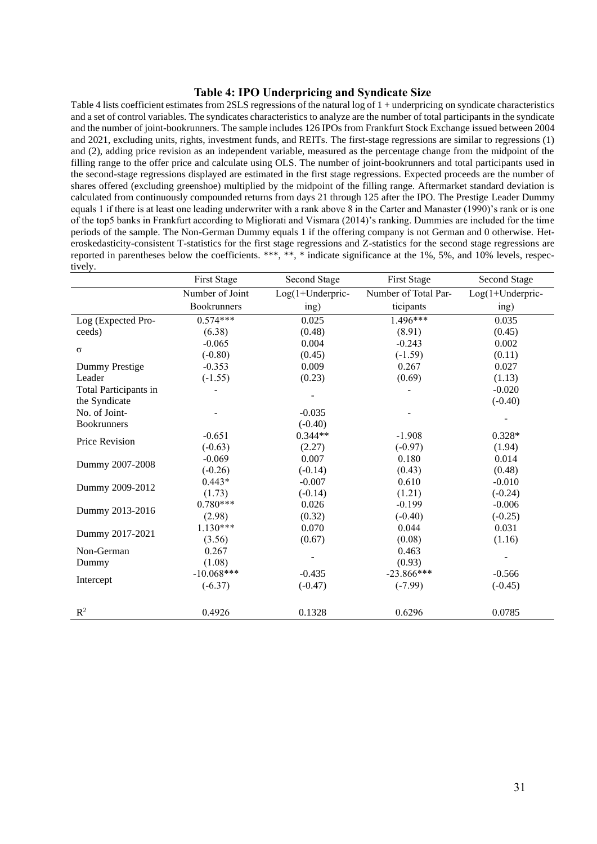#### **Table 4: IPO Underpricing and Syndicate Size**

<span id="page-35-0"></span>Table 4 lists coefficient estimates from 2SLS regressions of the natural log of 1 + underpricing on syndicate characteristics and a set of control variables. The syndicates characteristics to analyze are the number of total participants in the syndicate and the number of joint-bookrunners. The sample includes 126 IPOs from Frankfurt Stock Exchange issued between 2004 and 2021, excluding units, rights, investment funds, and REITs. The first-stage regressions are similar to regressions (1) and (2), adding price revision as an independent variable, measured as the percentage change from the midpoint of the filling range to the offer price and calculate using OLS. The number of joint-bookrunners and total participants used in the second-stage regressions displayed are estimated in the first stage regressions. Expected proceeds are the number of shares offered (excluding greenshoe) multiplied by the midpoint of the filling range. Aftermarket standard deviation is calculated from continuously compounded returns from days 21 through 125 after the IPO. The Prestige Leader Dummy equals 1 if there is at least one leading underwriter with a rank above 8 in the Carter and Manaster (1990)'s rank or is one of the top5 banks in Frankfurt according to Migliorati and Vismara (2014)'s ranking. Dummies are included for the time periods of the sample. The Non-German Dummy equals 1 if the offering company is not German and 0 otherwise. Heteroskedasticity-consistent T-statistics for the first stage regressions and Z-statistics for the second stage regressions are reported in parentheses below the coefficients. \*\*\*, \*\*, \* indicate significance at the 1%, 5%, and 10% levels, respectively.

|                       | First Stage     | Second Stage     | <b>First Stage</b>   | <b>Second Stage</b> |
|-----------------------|-----------------|------------------|----------------------|---------------------|
|                       | Number of Joint | Log(1+Underpric- | Number of Total Par- | $Log(1+Underpric-$  |
|                       | Bookrunners     | ing)             | ticipants            | ing)                |
| Log (Expected Pro-    | $0.574***$      | 0.025            | $1.496***$           | 0.035               |
| ceeds)                | (6.38)          | (0.48)           | (8.91)               | (0.45)              |
|                       | $-0.065$        | 0.004            | $-0.243$             | 0.002               |
| $\sigma$              | $(-0.80)$       | (0.45)           | $(-1.59)$            | (0.11)              |
| Dummy Prestige        | $-0.353$        | 0.009            | 0.267                | 0.027               |
| Leader                | $(-1.55)$       | (0.23)           | (0.69)               | (1.13)              |
| Total Participants in |                 |                  |                      | $-0.020$            |
| the Syndicate         |                 |                  |                      | $(-0.40)$           |
| No. of Joint-         |                 | $-0.035$         |                      |                     |
| <b>Bookrunners</b>    |                 | $(-0.40)$        |                      |                     |
| Price Revision        | $-0.651$        | $0.344**$        | $-1.908$             | $0.328*$            |
|                       | $(-0.63)$       | (2.27)           | $(-0.97)$            | (1.94)              |
| Dummy 2007-2008       | $-0.069$        | 0.007            | 0.180                | 0.014               |
|                       | $(-0.26)$       | $(-0.14)$        | (0.43)               | (0.48)              |
| Dummy 2009-2012       | $0.443*$        | $-0.007$         | 0.610                | $-0.010$            |
|                       | (1.73)          | $(-0.14)$        | (1.21)               | $(-0.24)$           |
| Dummy 2013-2016       | $0.780***$      | 0.026            | $-0.199$             | $-0.006$            |
|                       | (2.98)          | (0.32)           | $(-0.40)$            | $(-0.25)$           |
| Dummy 2017-2021       | $1.130***$      | 0.070            | 0.044                | 0.031               |
|                       | (3.56)          | (0.67)           | (0.08)               | (1.16)              |
| Non-German            | 0.267           |                  | 0.463                |                     |
| Dummy                 | (1.08)          |                  | (0.93)               |                     |
|                       | $-10.068***$    | $-0.435$         | $-23.866***$         | $-0.566$            |
| Intercept             | $(-6.37)$       | $(-0.47)$        | $(-7.99)$            | $(-0.45)$           |
|                       |                 |                  |                      |                     |
| $R^2$                 | 0.4926          | 0.1328           | 0.6296               | 0.0785              |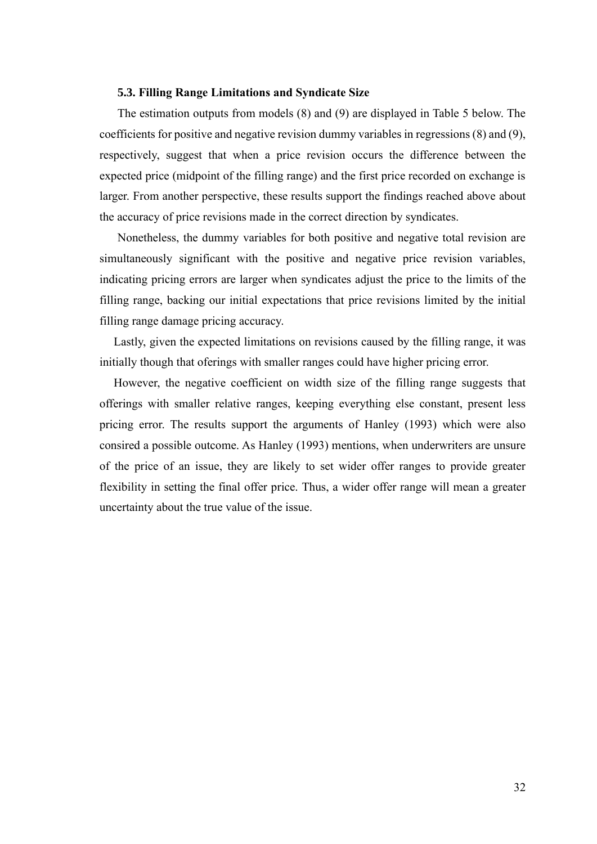#### <span id="page-36-0"></span>**5.3. Filling Range Limitations and Syndicate Size**

The estimation outputs from models (8) and (9) are displayed in Table 5 below. The coefficients for positive and negative revision dummy variables in regressions (8) and (9), respectively, suggest that when a price revision occurs the difference between the expected price (midpoint of the filling range) and the first price recorded on exchange is larger. From another perspective, these results support the findings reached above about the accuracy of price revisions made in the correct direction by syndicates.

Nonetheless, the dummy variables for both positive and negative total revision are simultaneously significant with the positive and negative price revision variables, indicating pricing errors are larger when syndicates adjust the price to the limits of the filling range, backing our initial expectations that price revisions limited by the initial filling range damage pricing accuracy.

Lastly, given the expected limitations on revisions caused by the filling range, it was initially though that oferings with smaller ranges could have higher pricing error.

However, the negative coefficient on width size of the filling range suggests that offerings with smaller relative ranges, keeping everything else constant, present less pricing error. The results support the arguments of Hanley (1993) which were also consired a possible outcome. As Hanley (1993) mentions, when underwriters are unsure of the price of an issue, they are likely to set wider offer ranges to provide greater flexibility in setting the final offer price. Thus, a wider offer range will mean a greater uncertainty about the true value of the issue.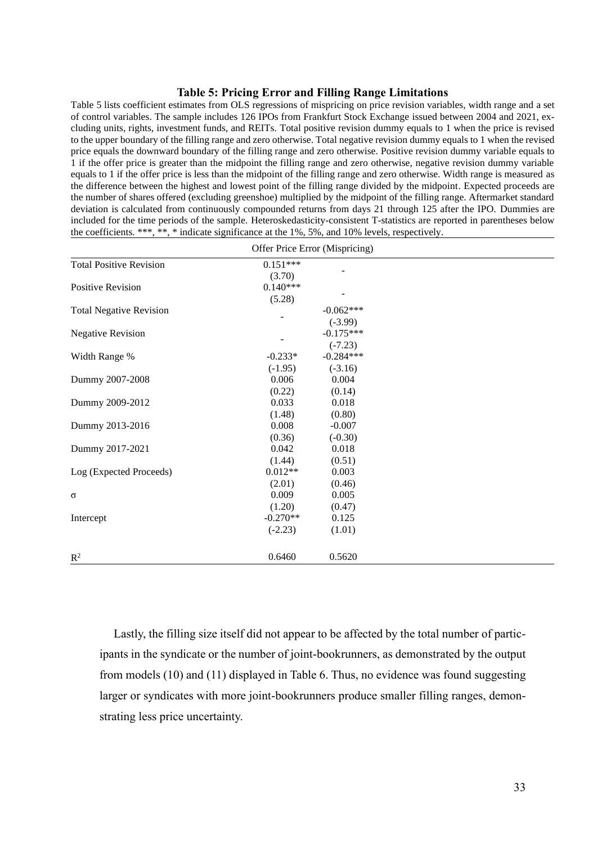#### **Table 5: Pricing Error and Filling Range Limitations**

<span id="page-37-0"></span>Table 5 lists coefficient estimates from OLS regressions of mispricing on price revision variables, width range and a set of control variables. The sample includes 126 IPOs from Frankfurt Stock Exchange issued between 2004 and 2021, excluding units, rights, investment funds, and REITs. Total positive revision dummy equals to 1 when the price is revised to the upper boundary of the filling range and zero otherwise. Total negative revision dummy equals to 1 when the revised price equals the downward boundary of the filling range and zero otherwise. Positive revision dummy variable equals to 1 if the offer price is greater than the midpoint the filling range and zero otherwise, negative revision dummy variable equals to 1 if the offer price is less than the midpoint of the filling range and zero otherwise. Width range is measured as the difference between the highest and lowest point of the filling range divided by the midpoint. Expected proceeds are the number of shares offered (excluding greenshoe) multiplied by the midpoint of the filling range. Aftermarket standard deviation is calculated from continuously compounded returns from days 21 through 125 after the IPO. Dummies are included for the time periods of the sample. Heteroskedasticity-consistent T-statistics are reported in parentheses below the coefficients. \*\*\*, \*\*, \* indicate significance at the 1%, 5%, and 10% levels, respectively.

| Offer Price Error (Mispricing) |            |             |  |  |  |  |
|--------------------------------|------------|-------------|--|--|--|--|
| <b>Total Positive Revision</b> | $0.151***$ |             |  |  |  |  |
|                                | (3.70)     |             |  |  |  |  |
| Positive Revision              | $0.140***$ |             |  |  |  |  |
|                                | (5.28)     |             |  |  |  |  |
| <b>Total Negative Revision</b> |            | $-0.062***$ |  |  |  |  |
|                                |            | $(-3.99)$   |  |  |  |  |
| <b>Negative Revision</b>       |            | $-0.175***$ |  |  |  |  |
|                                |            | $(-7.23)$   |  |  |  |  |
| Width Range %                  | $-0.233*$  | $-0.284***$ |  |  |  |  |
|                                | $(-1.95)$  | $(-3.16)$   |  |  |  |  |
| Dummy 2007-2008                | 0.006      | 0.004       |  |  |  |  |
|                                | (0.22)     | (0.14)      |  |  |  |  |
| Dummy 2009-2012                | 0.033      | 0.018       |  |  |  |  |
|                                | (1.48)     | (0.80)      |  |  |  |  |
| Dummy 2013-2016                | 0.008      | $-0.007$    |  |  |  |  |
|                                | (0.36)     | $(-0.30)$   |  |  |  |  |
| Dummy 2017-2021                | 0.042      | 0.018       |  |  |  |  |
|                                | (1.44)     | (0.51)      |  |  |  |  |
| Log (Expected Proceeds)        | $0.012**$  | 0.003       |  |  |  |  |
|                                | (2.01)     | (0.46)      |  |  |  |  |
| $\sigma$                       | 0.009      | 0.005       |  |  |  |  |
|                                | (1.20)     | (0.47)      |  |  |  |  |
| Intercept                      | $-0.270**$ | 0.125       |  |  |  |  |
|                                | $(-2.23)$  | (1.01)      |  |  |  |  |
| $\mathbb{R}^2$                 | 0.6460     | 0.5620      |  |  |  |  |

Lastly, the filling size itself did not appear to be affected by the total number of participants in the syndicate or the number of joint-bookrunners, as demonstrated by the output from models (10) and (11) displayed in Table 6. Thus, no evidence was found suggesting larger or syndicates with more joint-bookrunners produce smaller filling ranges, demonstrating less price uncertainty.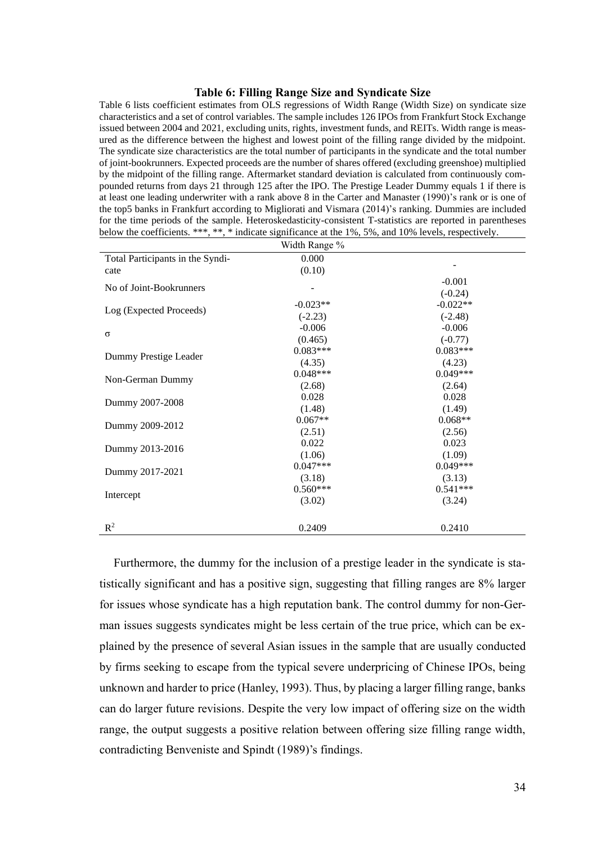#### **Table 6: Filling Range Size and Syndicate Size**

<span id="page-38-0"></span>Table 6 lists coefficient estimates from OLS regressions of Width Range (Width Size) on syndicate size characteristics and a set of control variables. The sample includes 126 IPOs from Frankfurt Stock Exchange issued between 2004 and 2021, excluding units, rights, investment funds, and REITs. Width range is measured as the difference between the highest and lowest point of the filling range divided by the midpoint. The syndicate size characteristics are the total number of participants in the syndicate and the total number of joint-bookrunners. Expected proceeds are the number of shares offered (excluding greenshoe) multiplied by the midpoint of the filling range. Aftermarket standard deviation is calculated from continuously compounded returns from days 21 through 125 after the IPO. The Prestige Leader Dummy equals 1 if there is at least one leading underwriter with a rank above 8 in the Carter and Manaster (1990)'s rank or is one of the top5 banks in Frankfurt according to Migliorati and Vismara (2014)'s ranking. Dummies are included for the time periods of the sample. Heteroskedasticity-consistent T-statistics are reported in parentheses below the coefficients. \*\*\*, \*\*, \* indicate significance at the 1%, 5%, and 10% levels, respectively.

| Width Range %                    |            |            |  |  |  |
|----------------------------------|------------|------------|--|--|--|
| Total Participants in the Syndi- | 0.000      |            |  |  |  |
| cate                             | (0.10)     |            |  |  |  |
| No of Joint-Bookrunners          |            | $-0.001$   |  |  |  |
|                                  |            | $(-0.24)$  |  |  |  |
|                                  | $-0.023**$ | $-0.022**$ |  |  |  |
| Log (Expected Proceeds)          | $(-2.23)$  | $(-2.48)$  |  |  |  |
|                                  | $-0.006$   | $-0.006$   |  |  |  |
| $\sigma$                         | (0.465)    | $(-0.77)$  |  |  |  |
| Dummy Prestige Leader            | $0.083***$ | $0.083***$ |  |  |  |
|                                  | (4.35)     | (4.23)     |  |  |  |
| Non-German Dummy                 | $0.048***$ | $0.049***$ |  |  |  |
|                                  | (2.68)     | (2.64)     |  |  |  |
| Dummy 2007-2008                  | 0.028      | 0.028      |  |  |  |
|                                  | (1.48)     | (1.49)     |  |  |  |
| Dummy 2009-2012                  | $0.067**$  | $0.068**$  |  |  |  |
|                                  | (2.51)     | (2.56)     |  |  |  |
| Dummy 2013-2016                  | 0.022      | 0.023      |  |  |  |
|                                  | (1.06)     | (1.09)     |  |  |  |
| Dummy 2017-2021                  | $0.047***$ | $0.049***$ |  |  |  |
|                                  | (3.18)     | (3.13)     |  |  |  |
| Intercept                        | $0.560***$ | $0.541***$ |  |  |  |
|                                  | (3.02)     | (3.24)     |  |  |  |
|                                  |            |            |  |  |  |
| $R^2$                            | 0.2409     | 0.2410     |  |  |  |

Furthermore, the dummy for the inclusion of a prestige leader in the syndicate is statistically significant and has a positive sign, suggesting that filling ranges are 8% larger for issues whose syndicate has a high reputation bank. The control dummy for non-German issues suggests syndicates might be less certain of the true price, which can be explained by the presence of several Asian issues in the sample that are usually conducted by firms seeking to escape from the typical severe underpricing of Chinese IPOs, being unknown and harder to price (Hanley, 1993). Thus, by placing a larger filling range, banks can do larger future revisions. Despite the very low impact of offering size on the width range, the output suggests a positive relation between offering size filling range width, contradicting Benveniste and Spindt (1989)'s findings.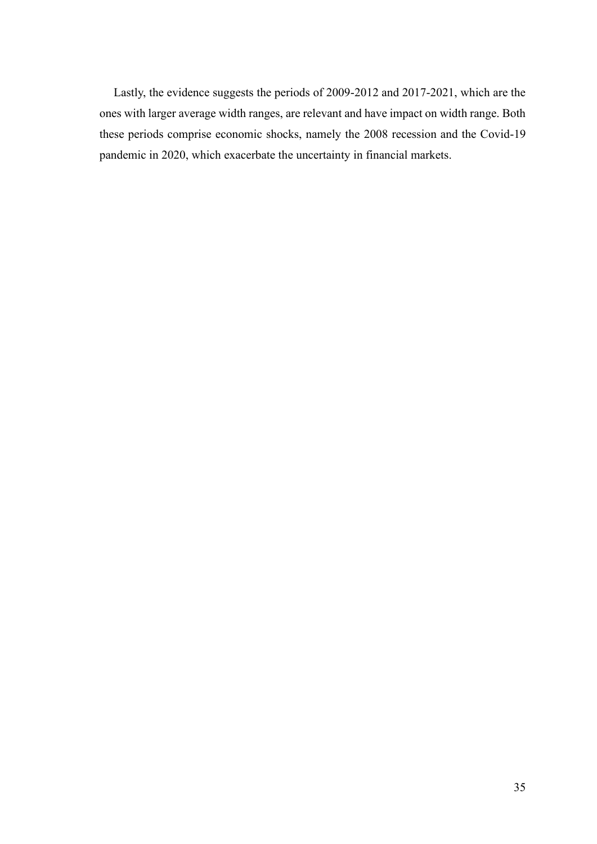Lastly, the evidence suggests the periods of 2009-2012 and 2017-2021, which are the ones with larger average width ranges, are relevant and have impact on width range. Both these periods comprise economic shocks, namely the 2008 recession and the Covid-19 pandemic in 2020, which exacerbate the uncertainty in financial markets.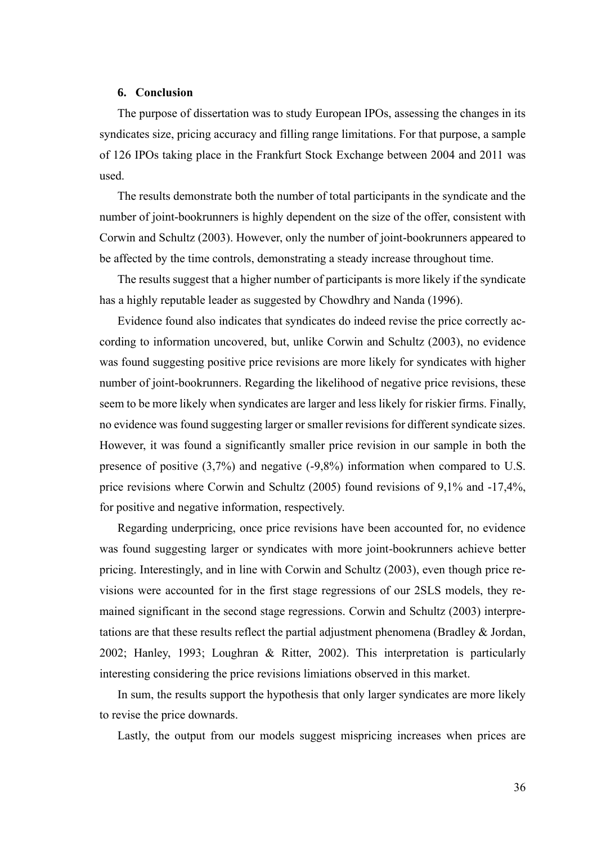## <span id="page-40-0"></span>**6. Conclusion**

The purpose of dissertation was to study European IPOs, assessing the changes in its syndicates size, pricing accuracy and filling range limitations. For that purpose, a sample of 126 IPOs taking place in the Frankfurt Stock Exchange between 2004 and 2011 was used.

The results demonstrate both the number of total participants in the syndicate and the number of joint-bookrunners is highly dependent on the size of the offer, consistent with Corwin and Schultz (2003). However, only the number of joint-bookrunners appeared to be affected by the time controls, demonstrating a steady increase throughout time.

The results suggest that a higher number of participants is more likely if the syndicate has a highly reputable leader as suggested by Chowdhry and Nanda (1996).

Evidence found also indicates that syndicates do indeed revise the price correctly according to information uncovered, but, unlike Corwin and Schultz (2003), no evidence was found suggesting positive price revisions are more likely for syndicates with higher number of joint-bookrunners. Regarding the likelihood of negative price revisions, these seem to be more likely when syndicates are larger and less likely for riskier firms. Finally, no evidence was found suggesting larger or smaller revisions for different syndicate sizes. However, it was found a significantly smaller price revision in our sample in both the presence of positive (3,7%) and negative (-9,8%) information when compared to U.S. price revisions where Corwin and Schultz (2005) found revisions of 9,1% and -17,4%, for positive and negative information, respectively.

Regarding underpricing, once price revisions have been accounted for, no evidence was found suggesting larger or syndicates with more joint-bookrunners achieve better pricing. Interestingly, and in line with Corwin and Schultz (2003), even though price revisions were accounted for in the first stage regressions of our 2SLS models, they remained significant in the second stage regressions. Corwin and Schultz (2003) interpretations are that these results reflect the partial adjustment phenomena (Bradley & Jordan, 2002; Hanley, 1993; Loughran & Ritter, 2002). This interpretation is particularly interesting considering the price revisions limiations observed in this market.

In sum, the results support the hypothesis that only larger syndicates are more likely to revise the price downards.

Lastly, the output from our models suggest mispricing increases when prices are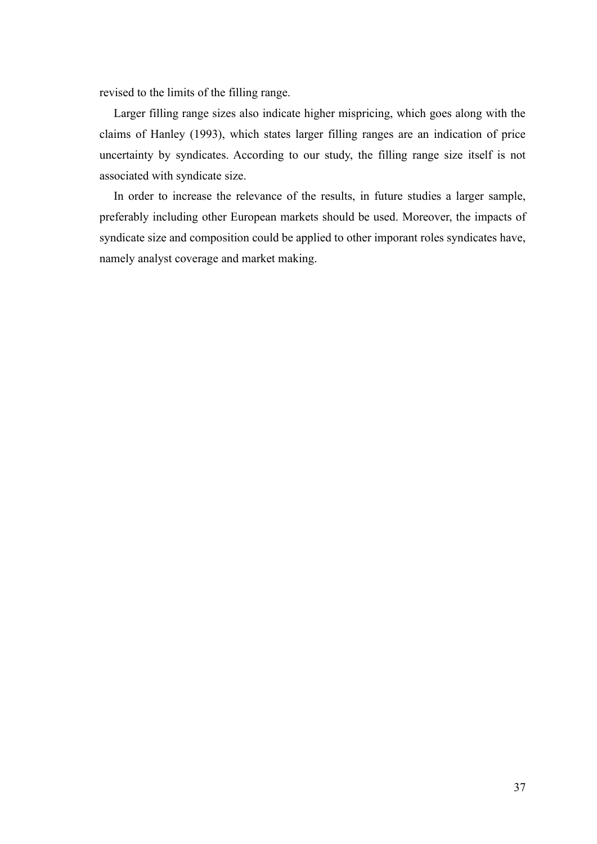revised to the limits of the filling range.

Larger filling range sizes also indicate higher mispricing, which goes along with the claims of Hanley (1993), which states larger filling ranges are an indication of price uncertainty by syndicates. According to our study, the filling range size itself is not associated with syndicate size.

In order to increase the relevance of the results, in future studies a larger sample, preferably including other European markets should be used. Moreover, the impacts of syndicate size and composition could be applied to other imporant roles syndicates have, namely analyst coverage and market making.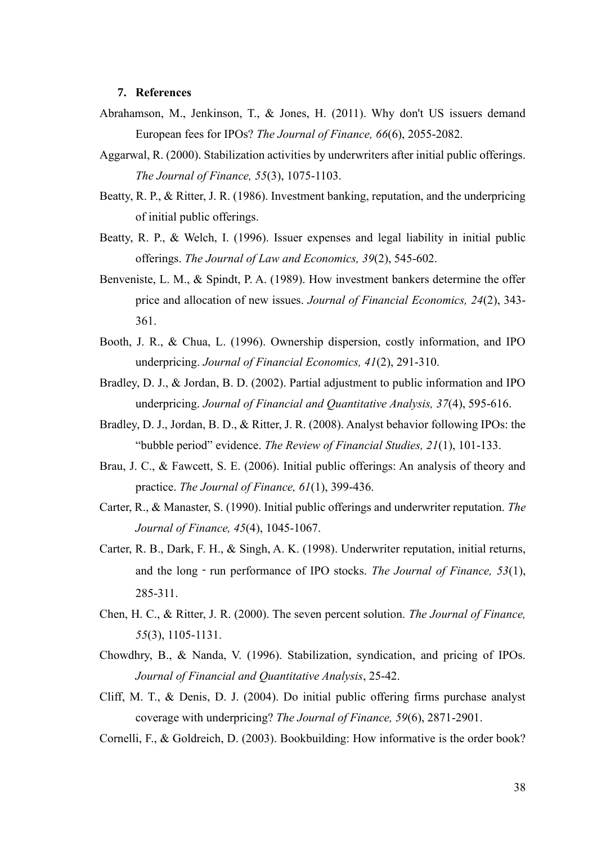#### <span id="page-42-0"></span>**7. References**

- Abrahamson, M., Jenkinson, T., & Jones, H. (2011). Why don't US issuers demand European fees for IPOs? *The Journal of Finance, 66*(6), 2055-2082.
- Aggarwal, R. (2000). Stabilization activities by underwriters after initial public offerings. *The Journal of Finance, 55*(3), 1075-1103.
- Beatty, R. P., & Ritter, J. R. (1986). Investment banking, reputation, and the underpricing of initial public offerings.
- Beatty, R. P., & Welch, I. (1996). Issuer expenses and legal liability in initial public offerings. *The Journal of Law and Economics, 39*(2), 545-602.
- Benveniste, L. M., & Spindt, P. A. (1989). How investment bankers determine the offer price and allocation of new issues. *Journal of Financial Economics, 24*(2), 343- 361.
- Booth, J. R., & Chua, L. (1996). Ownership dispersion, costly information, and IPO underpricing. *Journal of Financial Economics, 41*(2), 291-310.
- Bradley, D. J., & Jordan, B. D. (2002). Partial adjustment to public information and IPO underpricing. *Journal of Financial and Quantitative Analysis, 37*(4), 595-616.
- Bradley, D. J., Jordan, B. D., & Ritter, J. R. (2008). Analyst behavior following IPOs: the "bubble period" evidence. *The Review of Financial Studies, 21*(1), 101-133.
- Brau, J. C., & Fawcett, S. E. (2006). Initial public offerings: An analysis of theory and practice. *The Journal of Finance, 61*(1), 399-436.
- Carter, R., & Manaster, S. (1990). Initial public offerings and underwriter reputation. *The Journal of Finance, 45*(4), 1045-1067.
- Carter, R. B., Dark, F. H., & Singh, A. K. (1998). Underwriter reputation, initial returns, and the long - run performance of IPO stocks. *The Journal of Finance*, 53(1), 285-311.
- Chen, H. C., & Ritter, J. R. (2000). The seven percent solution. *The Journal of Finance, 55*(3), 1105-1131.
- Chowdhry, B., & Nanda, V. (1996). Stabilization, syndication, and pricing of IPOs. *Journal of Financial and Quantitative Analysis*, 25-42.
- Cliff, M. T., & Denis, D. J. (2004). Do initial public offering firms purchase analyst coverage with underpricing? *The Journal of Finance, 59*(6), 2871-2901.
- Cornelli, F., & Goldreich, D. (2003). Bookbuilding: How informative is the order book?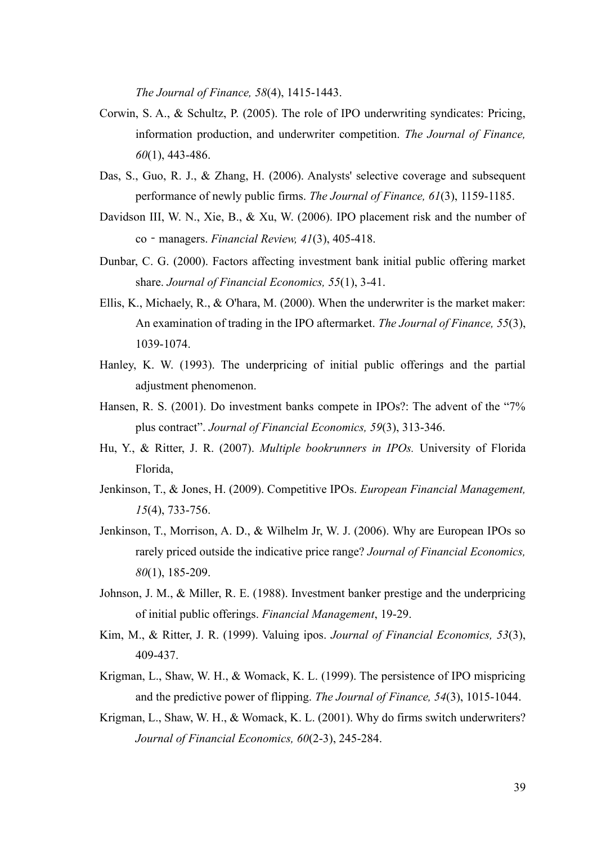*The Journal of Finance, 58*(4), 1415-1443.

- Corwin, S. A., & Schultz, P. (2005). The role of IPO underwriting syndicates: Pricing, information production, and underwriter competition. *The Journal of Finance, 60*(1), 443-486.
- Das, S., Guo, R. J., & Zhang, H. (2006). Analysts' selective coverage and subsequent performance of newly public firms. *The Journal of Finance, 61*(3), 1159-1185.
- Davidson III, W. N., Xie, B., & Xu, W. (2006). IPO placement risk and the number of co‐managers. *Financial Review, 41*(3), 405-418.
- Dunbar, C. G. (2000). Factors affecting investment bank initial public offering market share. *Journal of Financial Economics, 55*(1), 3-41.
- Ellis, K., Michaely, R., & O'hara, M. (2000). When the underwriter is the market maker: An examination of trading in the IPO aftermarket. *The Journal of Finance, 55*(3), 1039-1074.
- Hanley, K. W. (1993). The underpricing of initial public offerings and the partial adjustment phenomenon.
- Hansen, R. S. (2001). Do investment banks compete in IPOs?: The advent of the "7% plus contract". *Journal of Financial Economics, 59*(3), 313-346.
- Hu, Y., & Ritter, J. R. (2007). *Multiple bookrunners in IPOs.* University of Florida Florida,
- Jenkinson, T., & Jones, H. (2009). Competitive IPOs. *European Financial Management, 15*(4), 733-756.
- Jenkinson, T., Morrison, A. D., & Wilhelm Jr, W. J. (2006). Why are European IPOs so rarely priced outside the indicative price range? *Journal of Financial Economics, 80*(1), 185-209.
- Johnson, J. M., & Miller, R. E. (1988). Investment banker prestige and the underpricing of initial public offerings. *Financial Management*, 19-29.
- Kim, M., & Ritter, J. R. (1999). Valuing ipos. *Journal of Financial Economics, 53*(3), 409-437.
- Krigman, L., Shaw, W. H., & Womack, K. L. (1999). The persistence of IPO mispricing and the predictive power of flipping. *The Journal of Finance, 54*(3), 1015-1044.
- Krigman, L., Shaw, W. H., & Womack, K. L. (2001). Why do firms switch underwriters? *Journal of Financial Economics, 60*(2-3), 245-284.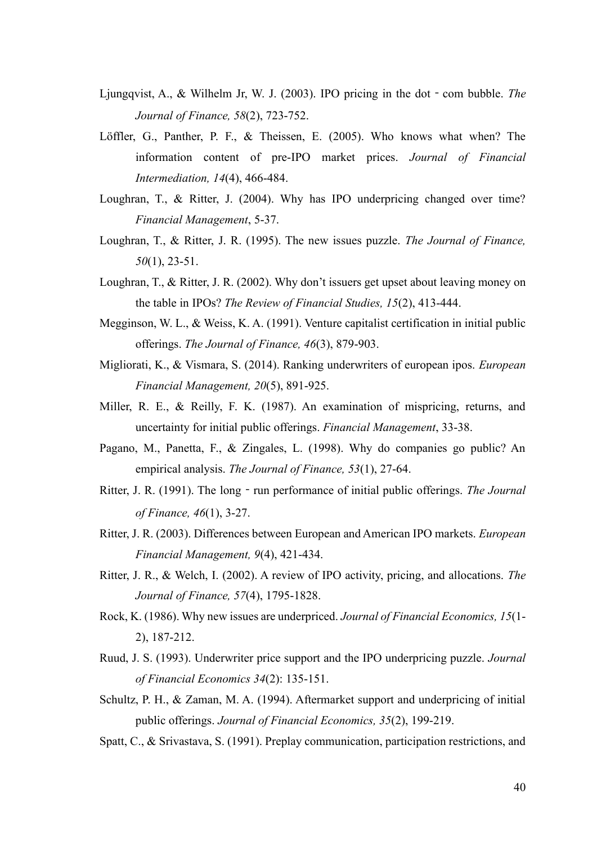- Ljungqvist, A., & Wilhelm Jr, W. J. (2003). IPO pricing in the dot com bubble. *The Journal of Finance, 58*(2), 723-752.
- Löffler, G., Panther, P. F., & Theissen, E. (2005). Who knows what when? The information content of pre-IPO market prices. *Journal of Financial Intermediation, 14*(4), 466-484.
- Loughran, T., & Ritter, J. (2004). Why has IPO underpricing changed over time? *Financial Management*, 5-37.
- Loughran, T., & Ritter, J. R. (1995). The new issues puzzle. *The Journal of Finance, 50*(1), 23-51.
- Loughran, T., & Ritter, J. R. (2002). Why don't issuers get upset about leaving money on the table in IPOs? *The Review of Financial Studies, 15*(2), 413-444.
- Megginson, W. L., & Weiss, K. A. (1991). Venture capitalist certification in initial public offerings. *The Journal of Finance, 46*(3), 879-903.
- Migliorati, K., & Vismara, S. (2014). Ranking underwriters of european ipos. *European Financial Management, 20*(5), 891-925.
- Miller, R. E., & Reilly, F. K. (1987). An examination of mispricing, returns, and uncertainty for initial public offerings. *Financial Management*, 33-38.
- Pagano, M., Panetta, F., & Zingales, L. (1998). Why do companies go public? An empirical analysis. *The Journal of Finance, 53*(1), 27-64.
- Ritter, J. R. (1991). The long run performance of initial public offerings. *The Journal of Finance, 46*(1), 3-27.
- Ritter, J. R. (2003). Differences between European and American IPO markets. *European Financial Management, 9*(4), 421-434.
- Ritter, J. R., & Welch, I. (2002). A review of IPO activity, pricing, and allocations. *The Journal of Finance, 57*(4), 1795-1828.
- Rock, K. (1986). Why new issues are underpriced. *Journal of Financial Economics, 15*(1- 2), 187-212.
- Ruud, J. S. (1993). Underwriter price support and the IPO underpricing puzzle. *Journal of Financial Economics 34*(2): 135-151.
- Schultz, P. H., & Zaman, M. A. (1994). Aftermarket support and underpricing of initial public offerings. *Journal of Financial Economics, 35*(2), 199-219.
- Spatt, C., & Srivastava, S. (1991). Preplay communication, participation restrictions, and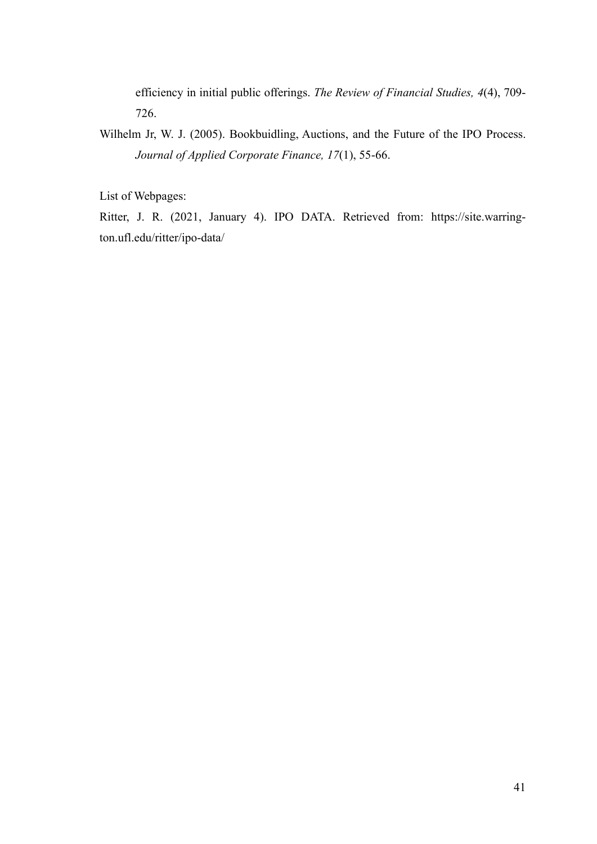efficiency in initial public offerings. *The Review of Financial Studies, 4*(4), 709- 726.

Wilhelm Jr, W. J. (2005). Bookbuidling, Auctions, and the Future of the IPO Process. *Journal of Applied Corporate Finance, 17*(1), 55-66.

List of Webpages:

Ritter, J. R. (2021, January 4). IPO DATA. Retrieved from: https://site.warrington.ufl.edu/ritter/ipo-data/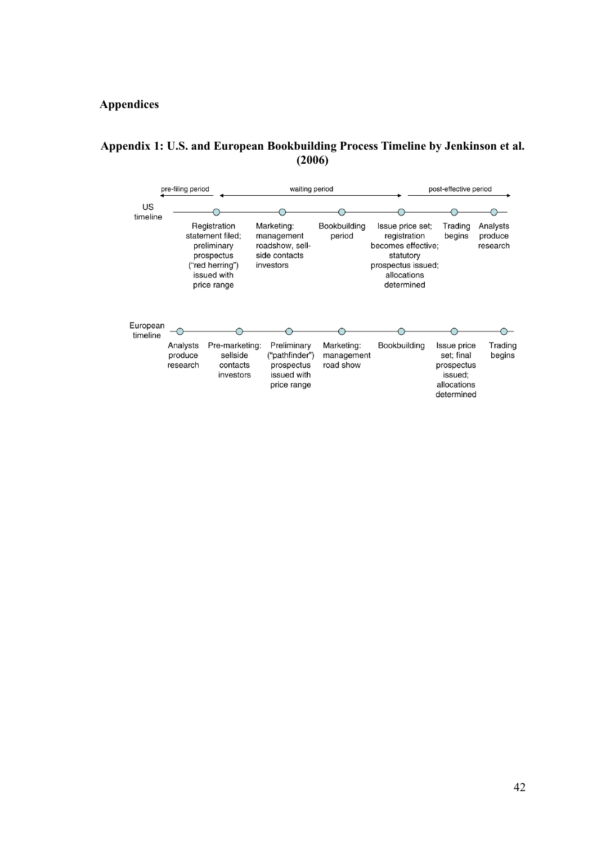# <span id="page-46-0"></span>**Appendices**

## <span id="page-46-1"></span>**Appendix 1: U.S. and European Bookbuilding Process Timeline by Jenkinson et al. (2006)**

|                      | pre-filing period               |                                                                                                                | waiting period                                                            |                                       |                                                                                                                        | post-effective period                                                           |                                 |  |
|----------------------|---------------------------------|----------------------------------------------------------------------------------------------------------------|---------------------------------------------------------------------------|---------------------------------------|------------------------------------------------------------------------------------------------------------------------|---------------------------------------------------------------------------------|---------------------------------|--|
| US<br>timeline       |                                 |                                                                                                                |                                                                           |                                       |                                                                                                                        |                                                                                 |                                 |  |
|                      |                                 | Registration<br>statement filed:<br>preliminary<br>prospectus<br>("red herring")<br>issued with<br>price range | Marketing:<br>management<br>roadshow, sell-<br>side contacts<br>investors | Bookbuilding<br>period                | Issue price set;<br>registration<br>becomes effective;<br>statutory<br>prospectus issued;<br>allocations<br>determined | Trading<br>begins                                                               | Analysts<br>produce<br>research |  |
| European<br>timeline |                                 |                                                                                                                |                                                                           |                                       |                                                                                                                        |                                                                                 |                                 |  |
|                      | Analysts<br>produce<br>research | Pre-marketing:<br>sellside<br>contacts<br>investors                                                            | Preliminary<br>("pathfinder")<br>prospectus<br>issued with<br>price range | Marketing:<br>management<br>road show | Bookbuilding                                                                                                           | Issue price<br>set: final<br>prospectus<br>issued;<br>allocations<br>determined | Trading<br>begins               |  |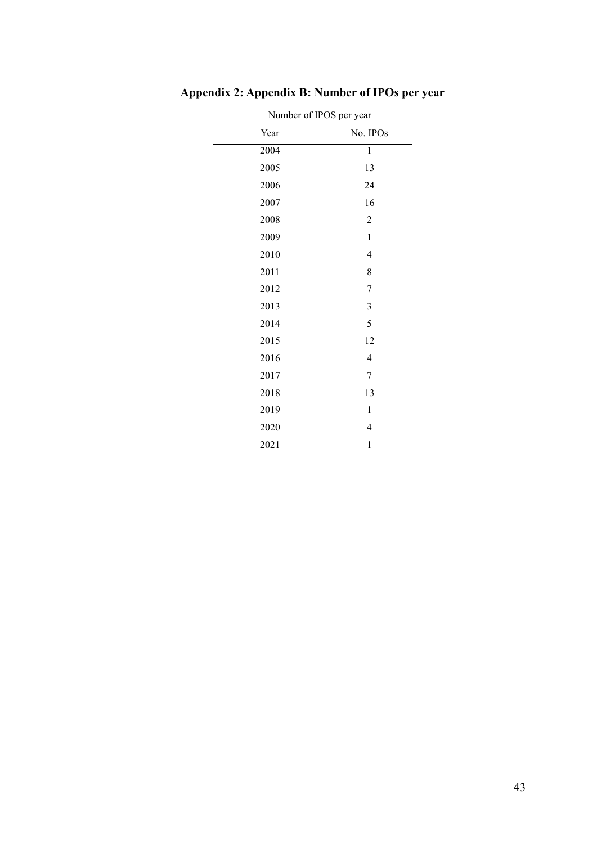| Number of IPOS per year |                |
|-------------------------|----------------|
| Year                    | No. IPOs       |
| 2004                    | $\mathbf{1}$   |
| 2005                    | 13             |
| 2006                    | 24             |
| 2007                    | 16             |
| 2008                    | $\overline{2}$ |
| 2009                    | $\,1$          |
| 2010                    | 4              |
| 2011                    | 8              |
| 2012                    | 7              |
| 2013                    | $\mathfrak{Z}$ |
| 2014                    | 5              |
| 2015                    | 12             |
| 2016                    | $\overline{4}$ |
| 2017                    | 7              |
| 2018                    | 13             |
| 2019                    | $\mathbf{1}$   |
| 2020                    | $\overline{4}$ |
| 2021                    | 1              |

<span id="page-47-0"></span>**Appendix 2: Appendix B: Number of IPOs per year**